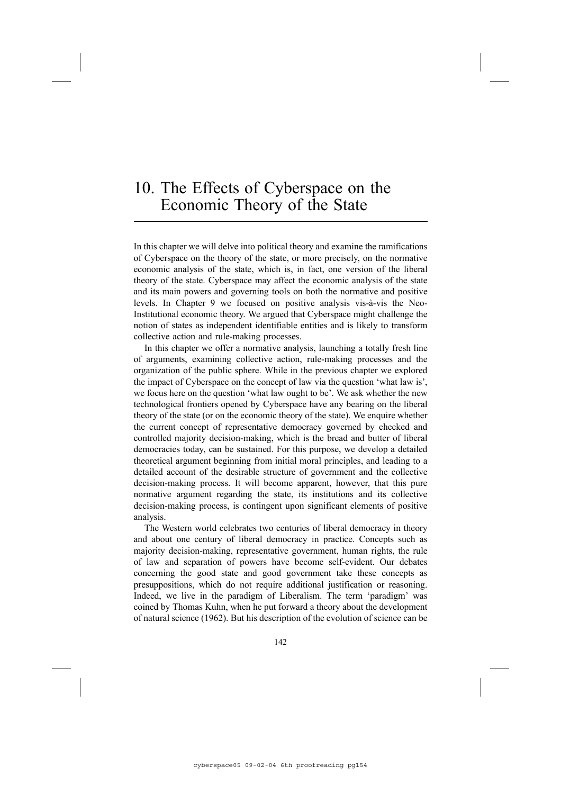# 10. The Effects of Cyberspace on the Economic Theory of the State

In this chapter we will delve into political theory and examine the ramifications of Cyberspace on the theory of the state, or more precisely, on the normative economic analysis of the state, which is, in fact, one version of the liberal theory of the state. Cyberspace may affect the economic analysis of the state and its main powers and governing tools on both the normative and positive levels. In Chapter 9 we focused on positive analysis vis-à-vis the Neo-Institutional economic theory. We argued that Cyberspace might challenge the notion of states as independent identifiable entities and is likely to transform collective action and rule-making processes.

In this chapter we offer a normative analysis, launching a totally fresh line of arguments, examining collective action, rule-making processes and the organization of the public sphere. While in the previous chapter we explored the impact of Cyberspace on the concept of law via the question 'what law is', we focus here on the question 'what law ought to be'. We ask whether the new technological frontiers opened by Cyberspace have any bearing on the liberal theory of the state (or on the economic theory of the state). We enquire whether the current concept of representative democracy governed by checked and controlled majority decision-making, which is the bread and butter of liberal democracies today, can be sustained. For this purpose, we develop a detailed theoretical argument beginning from initial moral principles, and leading to a detailed account of the desirable structure of government and the collective decision-making process. It will become apparent, however, that this pure normative argument regarding the state, its institutions and its collective decision-making process, is contingent upon significant elements of positive analysis.

The Western world celebrates two centuries of liberal democracy in theory and about one century of liberal democracy in practice. Concepts such as majority decision-making, representative government, human rights, the rule of law and separation of powers have become self-evident. Our debates concerning the good state and good government take these concepts as presuppositions, which do not require additional justification or reasoning. Indeed, we live in the paradigm of Liberalism. The term 'paradigm' was coined by Thomas Kuhn, when he put forward a theory about the development of natural science (1962). But his description of the evolution of science can be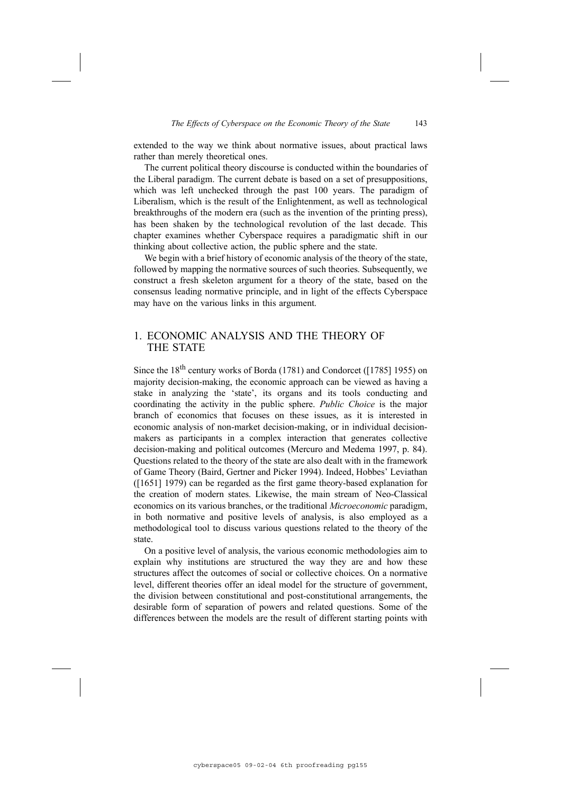#### The Effects of Cyberspace on the Economic Theory of the State  $1/12$

extended to the way we think about normative issues, about practical laws rather than merely theoretical ones.

The current political theory discourse is conducted within the boundaries of the Liberal paradigm. The current debate is based on a set of presuppositions, which was left unchecked through the past 100 years. The paradigm of Liberalism, which is the result of the Enlightenment, as well as technological breakthroughs of the modern era (such as the invention of the printing press), has been shaken by the technological revolution of the last decade. This chapter examines whether Cyberspace requires a paradigmatic shift in our thinking about collective action, the public sphere and the state.

We begin with a brief history of economic analysis of the theory of the state, followed by mapping the normative sources of such theories. Subsequently, we construct a fresh skeleton argument for a theory of the state, based on the consensus leading normative principle, and in light of the effects Cyberspace may have on the various links in this argument.

# 1. ECONOMIC ANALYSIS AND THE THEORY OF **THE STATE**

Since the 18<sup>th</sup> century works of Borda (1781) and Condorcet ([1785] 1955) on majority decision-making, the economic approach can be viewed as having a stake in analyzing the 'state', its organs and its tools conducting and coordinating the activity in the public sphere. Public Choice is the major branch of economics that focuses on these issues, as it is interested in economic analysis of non-market decision-making, or in individual decisionmakers as participants in a complex interaction that generates collective decision-making and political outcomes (Mercuro and Medema 1997, p. 84). Ouestions related to the theory of the state are also dealt with in the framework of Game Theory (Baird, Gertner and Picker 1994). Indeed, Hobbes' Leviathan ([1651] 1979) can be regarded as the first game theory-based explanation for the creation of modern states. Likewise, the main stream of Neo-Classical economics on its various branches, or the traditional *Microeconomic* paradigm, in both normative and positive levels of analysis, is also employed as a methodological tool to discuss various questions related to the theory of the state.

On a positive level of analysis, the various economic methodologies aim to explain why institutions are structured the way they are and how these structures affect the outcomes of social or collective choices. On a normative level, different theories offer an ideal model for the structure of government, the division between constitutional and post-constitutional arrangements, the desirable form of separation of powers and related questions. Some of the differences between the models are the result of different starting points with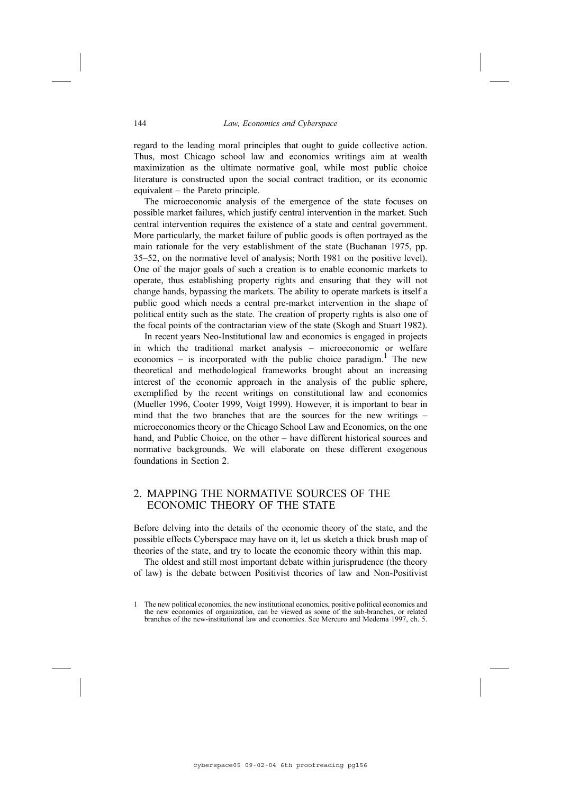regard to the leading moral principles that ought to guide collective action. Thus, most Chicago school law and economics writings aim at wealth maximization as the ultimate normative goal, while most public choice literature is constructed upon the social contract tradition, or its economic equivalent  $-$  the Pareto principle.

The microeconomic analysis of the emergence of the state focuses on possible market failures, which justify central intervention in the market. Such central intervention requires the existence of a state and central government. More particularly, the market failure of public goods is often portrayed as the main rationale for the very establishment of the state (Buchanan 1975, pp. 35–52, on the normative level of analysis; North 1981 on the positive level). One of the major goals of such a creation is to enable economic markets to operate, thus establishing property rights and ensuring that they will not change hands, bypassing the markets. The ability to operate markets is itself a public good which needs a central pre-market intervention in the shape of political entity such as the state. The creation of property rights is also one of the focal points of the contractarian view of the state (Skogh and Stuart 1982).

In recent years Neo-Institutional law and economics is engaged in projects in which the traditional market analysis - microeconomic or welfare economics – is incorporated with the public choice paradigm.<sup>1</sup> The new theoretical and methodological frameworks brought about an increasing interest of the economic approach in the analysis of the public sphere, exemplified by the recent writings on constitutional law and economics (Mueller 1996, Cooter 1999, Voigt 1999). However, it is important to bear in mind that the two branches that are the sources for the new writings – microeconomics theory or the Chicago School Law and Economics, on the one hand, and Public Choice, on the other - have different historical sources and normative backgrounds. We will elaborate on these different exogenous foundations in Section 2.

# 2. MAPPING THE NORMATIVE SOURCES OF THE ECONOMIC THEORY OF THE STATE

Before delving into the details of the economic theory of the state, and the possible effects Cyberspace may have on it, let us sketch a thick brush map of theories of the state, and try to locate the economic theory within this map.

The oldest and still most important debate within jurisprudence (the theory of law) is the debate between Positivist theories of law and Non-Positivist

The new political economics, the new institutional economics, positive political economics and  $\mathbf{1}$ the new economics of organization, can be viewed as some of the sub-branches, or related branches of the new-institutional law and economics. See Mercuro and Medema 1997, ch. 5.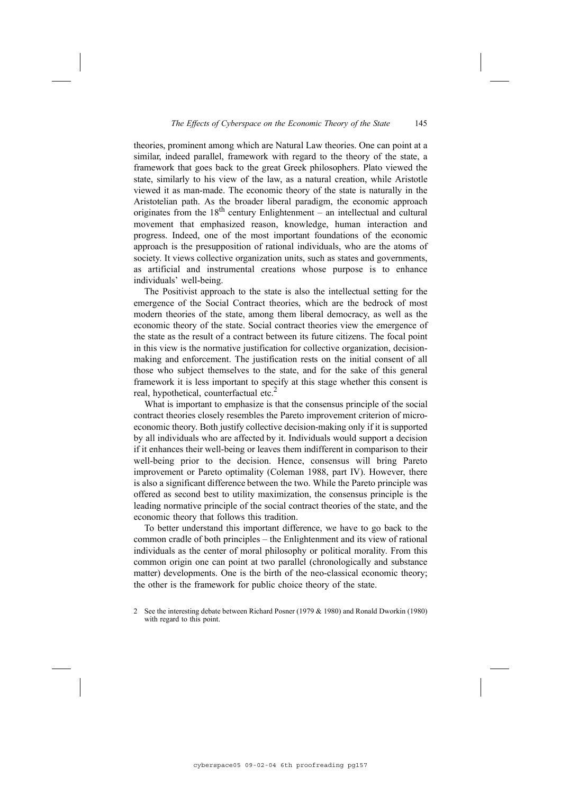theories, prominent among which are Natural Law theories. One can point at a similar, indeed parallel, framework with regard to the theory of the state, a framework that goes back to the great Greek philosophers. Plato viewed the state, similarly to his view of the law, as a natural creation, while Aristotle viewed it as man-made. The economic theory of the state is naturally in the Aristotelian path. As the broader liberal paradigm, the economic approach originates from the  $18<sup>th</sup>$  century Enlightenment – an intellectual and cultural movement that emphasized reason, knowledge, human interaction and progress. Indeed, one of the most important foundations of the economic approach is the presupposition of rational individuals, who are the atoms of society. It views collective organization units, such as states and governments, as artificial and instrumental creations whose purpose is to enhance individuals' well-being.

The Positivist approach to the state is also the intellectual setting for the emergence of the Social Contract theories, which are the bedrock of most modern theories of the state, among them liberal democracy, as well as the economic theory of the state. Social contract theories view the emergence of the state as the result of a contract between its future citizens. The focal point in this view is the normative justification for collective organization, decisionmaking and enforcement. The justification rests on the initial consent of all those who subject themselves to the state, and for the sake of this general framework it is less important to specify at this stage whether this consent is real, hypothetical, counterfactual etc.<sup>2</sup>

What is important to emphasize is that the consensus principle of the social contract theories closely resembles the Pareto improvement criterion of microeconomic theory. Both justify collective decision-making only if it is supported by all individuals who are affected by it. Individuals would support a decision if it enhances their well-being or leaves them indifferent in comparison to their well-being prior to the decision. Hence, consensus will bring Pareto improvement or Pareto optimality (Coleman 1988, part IV). However, there is also a significant difference between the two. While the Pareto principle was offered as second best to utility maximization, the consensus principle is the leading normative principle of the social contract theories of the state, and the economic theory that follows this tradition.

To better understand this important difference, we have to go back to the common cradle of both principles – the Enlightenment and its view of rational individuals as the center of moral philosophy or political morality. From this common origin one can point at two parallel (chronologically and substance matter) developments. One is the birth of the neo-classical economic theory; the other is the framework for public choice theory of the state.

See the interesting debate between Richard Posner (1979 & 1980) and Ronald Dworkin (1980) with regard to this point.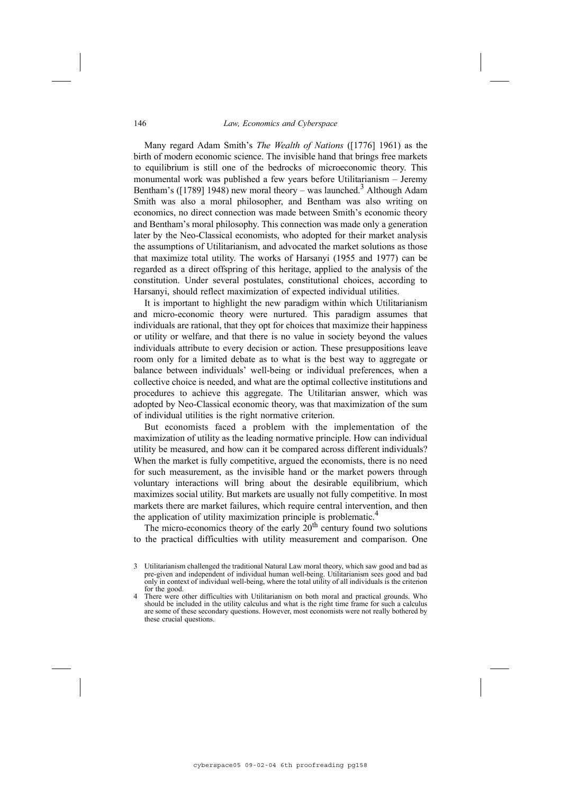Many regard Adam Smith's *The Wealth of Nations* ([1776] 1961) as the birth of modern economic science. The invisible hand that brings free markets to equilibrium is still one of the bedrocks of microeconomic theory. This monumental work was published a few years before Utilitarianism - Jeremy Bentham's ([1789] 1948) new moral theory – was launched.<sup>3</sup> Although Adam Smith was also a moral philosopher, and Bentham was also writing on economics, no direct connection was made between Smith's economic theory and Bentham's moral philosophy. This connection was made only a generation later by the Neo-Classical economists, who adopted for their market analysis the assumptions of Utilitarianism, and advocated the market solutions as those that maximize total utility. The works of Harsanyi (1955 and 1977) can be regarded as a direct offspring of this heritage, applied to the analysis of the constitution. Under several postulates, constitutional choices, according to Harsanyi, should reflect maximization of expected individual utilities.

It is important to highlight the new paradigm within which Utilitarianism and micro-economic theory were nurtured. This paradigm assumes that individuals are rational, that they opt for choices that maximize their happiness or utility or welfare, and that there is no value in society beyond the values individuals attribute to every decision or action. These presuppositions leave room only for a limited debate as to what is the best way to aggregate or balance between individuals' well-being or individual preferences, when a collective choice is needed, and what are the optimal collective institutions and procedures to achieve this aggregate. The Utilitarian answer, which was adopted by Neo-Classical economic theory, was that maximization of the sum of individual utilities is the right normative criterion.

But economists faced a problem with the implementation of the maximization of utility as the leading normative principle. How can individual utility be measured, and how can it be compared across different individuals? When the market is fully competitive, argued the economists, there is no need for such measurement, as the invisible hand or the market powers through voluntary interactions will bring about the desirable equilibrium, which maximizes social utility. But markets are usually not fully competitive. In most markets there are market failures, which require central intervention, and then the application of utility maximization principle is problematic.<sup>4</sup>

The micro-economics theory of the early  $20<sup>th</sup>$  century found two solutions to the practical difficulties with utility measurement and comparison. One

Utilitarianism challenged the traditional Natural Law moral theory, which saw good and bad as  $\mathbf{3}$ pre-given and independent of individual human well-being. Utilitarianism sees good and bad only in context of individual well-being, where the total utility of all individuals is the criterion for the good.

There were other difficulties with Utilitarianism on both moral and practical grounds. Who should be included in the utility calculus and what is the right time frame for such a calculus are some of these secondary questions. However, most economists were not really bothered by these crucial questions.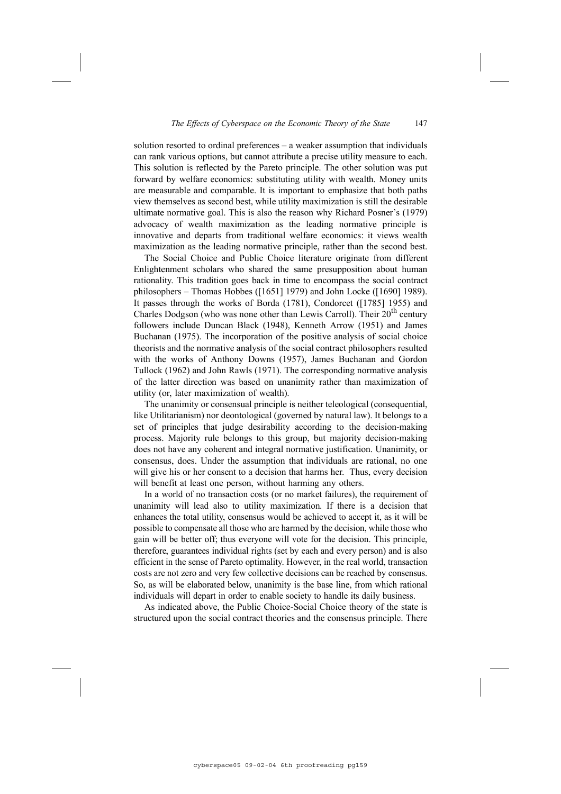solution resorted to ordinal preferences  $-$  a weaker assumption that individuals can rank various options, but cannot attribute a precise utility measure to each. This solution is reflected by the Pareto principle. The other solution was put forward by welfare economics: substituting utility with wealth. Money units are measurable and comparable. It is important to emphasize that both paths view themselves as second best, while utility maximization is still the desirable ultimate normative goal. This is also the reason why Richard Posner's (1979) advocacy of wealth maximization as the leading normative principle is innovative and departs from traditional welfare economics: it views wealth maximization as the leading normative principle, rather than the second best.

The Social Choice and Public Choice literature originate from different Enlightenment scholars who shared the same presupposition about human rationality. This tradition goes back in time to encompass the social contract philosophers – Thomas Hobbes ( $[1651]$  1979) and John Locke ( $[1690]$  1989). It passes through the works of Borda (1781), Condorcet ([1785] 1955) and Charles Dodgson (who was none other than Lewis Carroll). Their 20<sup>th</sup> century followers include Duncan Black (1948), Kenneth Arrow (1951) and James Buchanan (1975). The incorporation of the positive analysis of social choice theorists and the normative analysis of the social contract philosophers resulted with the works of Anthony Downs (1957), James Buchanan and Gordon Tullock (1962) and John Rawls (1971). The corresponding normative analysis of the latter direction was based on unanimity rather than maximization of utility (or, later maximization of wealth).

The unanimity or consensual principle is neither teleological (consequential, like Utilitarianism) nor deontological (governed by natural law). It belongs to a set of principles that judge desirability according to the decision-making process. Majority rule belongs to this group, but majority decision-making does not have any coherent and integral normative justification. Unanimity, or consensus, does. Under the assumption that individuals are rational, no one will give his or her consent to a decision that harms her. Thus, every decision will benefit at least one person, without harming any others.

In a world of no transaction costs (or no market failures), the requirement of unanimity will lead also to utility maximization. If there is a decision that enhances the total utility, consensus would be achieved to accept it, as it will be possible to compensate all those who are harmed by the decision, while those who gain will be better off; thus everyone will vote for the decision. This principle, therefore, guarantees individual rights (set by each and every person) and is also efficient in the sense of Pareto optimality. However, in the real world, transaction costs are not zero and very few collective decisions can be reached by consensus. So, as will be elaborated below, unanimity is the base line, from which rational individuals will depart in order to enable society to handle its daily business.

As indicated above, the Public Choice-Social Choice theory of the state is structured upon the social contract theories and the consensus principle. There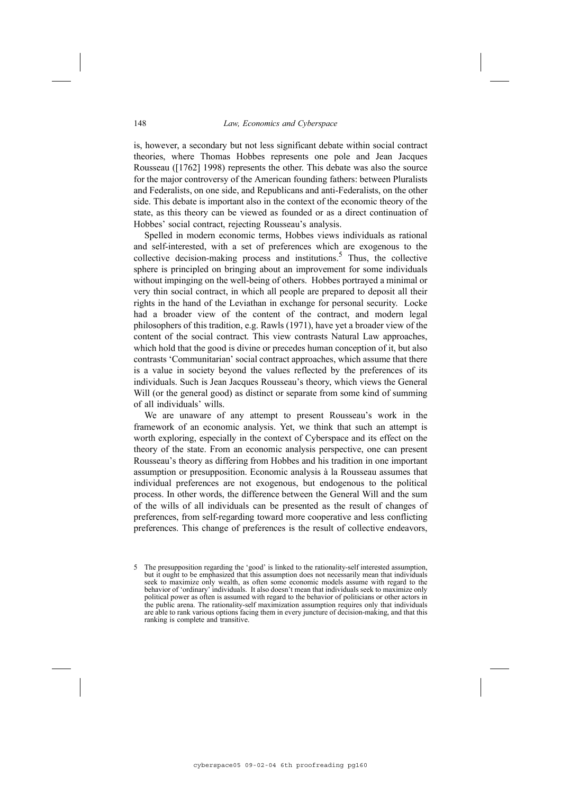is, however, a secondary but not less significant debate within social contract theories, where Thomas Hobbes represents one pole and Jean Jacques Rousseau ([1762] 1998) represents the other. This debate was also the source for the major controversy of the American founding fathers: between Pluralists and Federalists, on one side, and Republicans and anti-Federalists, on the other side. This debate is important also in the context of the economic theory of the state, as this theory can be viewed as founded or as a direct continuation of Hobbes' social contract, rejecting Rousseau's analysis.

Spelled in modern economic terms. Hobbes views individuals as rational and self-interested, with a set of preferences which are exogenous to the collective decision-making process and institutions.<sup>5</sup> Thus, the collective sphere is principled on bringing about an improvement for some individuals without impinging on the well-being of others. Hobbes portrayed a minimal or very thin social contract, in which all people are prepared to deposit all their rights in the hand of the Leviathan in exchange for personal security. Locke had a broader view of the content of the contract, and modern legal philosophers of this tradition, e.g. Rawls (1971), have yet a broader view of the content of the social contract. This view contrasts Natural Law approaches, which hold that the good is divine or precedes human conception of it, but also contrasts 'Communitarian' social contract approaches, which assume that there is a value in society beyond the values reflected by the preferences of its individuals. Such is Jean Jacques Rousseau's theory, which views the General Will (or the general good) as distinct or separate from some kind of summing of all individuals' wills.

We are unaware of any attempt to present Rousseau's work in the framework of an economic analysis. Yet, we think that such an attempt is worth exploring, especially in the context of Cyberspace and its effect on the theory of the state. From an economic analysis perspective, one can present Rousseau's theory as differing from Hobbes and his tradition in one important assumption or presupposition. Economic analysis à la Rousseau assumes that individual preferences are not exogenous, but endogenous to the political process. In other words, the difference between the General Will and the sum of the wills of all individuals can be presented as the result of changes of preferences, from self-regarding toward more cooperative and less conflicting preferences. This change of preferences is the result of collective endeavors,

 $1/8$ 

The presupposition regarding the 'good' is linked to the rationality-self interested assumption, but it ought to be emphasized that this assumption does not necessarily mean that individuals  $\overline{\phantom{0}}$ seek to maximize only wealth, as often some economic models assume with regard to the behavior of 'ordinary' individuals. It also doesn't mean that individuals seek to maximize only political power as often is assumed with regard to the behavior of politicians or other actors in the public arena. The rationality-self maximization assumption requires only that individuals are able to rank various options facing them in every juncture of decision-making, and that this ranking is complete and transitive.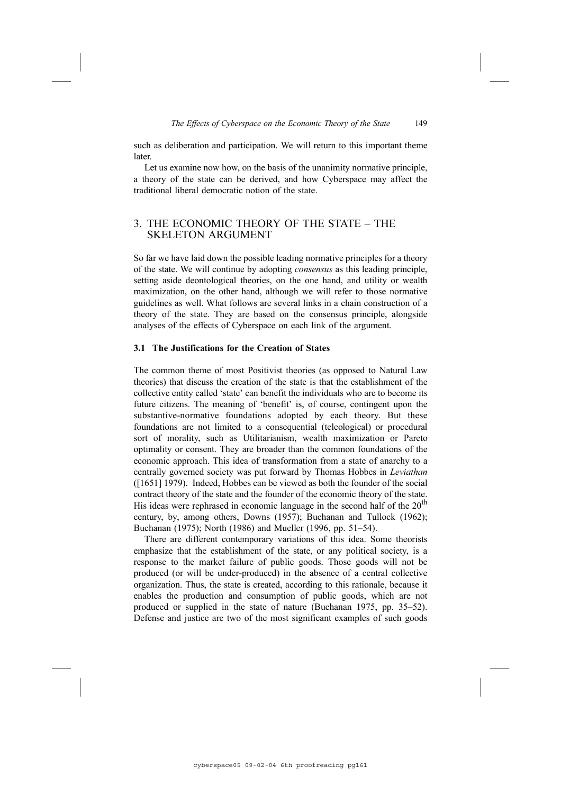such as deliberation and participation. We will return to this important theme later.

Let us examine now how, on the basis of the unanimity normative principle, a theory of the state can be derived, and how Cyberspace may affect the traditional liberal democratic notion of the state.

# 3. THE ECONOMIC THEORY OF THE STATE - THE **SKELETON ARGUMENT**

So far we have laid down the possible leading normative principles for a theory of the state. We will continue by adopting *consensus* as this leading principle, setting aside deontological theories, on the one hand, and utility or wealth maximization, on the other hand, although we will refer to those normative guidelines as well. What follows are several links in a chain construction of a theory of the state. They are based on the consensus principle, alongside analyses of the effects of Cyberspace on each link of the argument.

### 3.1 The Justifications for the Creation of States

The common theme of most Positivist theories (as opposed to Natural Law theories) that discuss the creation of the state is that the establishment of the collective entity called 'state' can benefit the individuals who are to become its future citizens. The meaning of 'benefit' is, of course, contingent upon the substantive-normative foundations adopted by each theory. But these foundations are not limited to a consequential (teleological) or procedural sort of morality, such as Utilitarianism, wealth maximization or Pareto optimality or consent. They are broader than the common foundations of the economic approach. This idea of transformation from a state of anarchy to a centrally governed society was put forward by Thomas Hobbes in Leviathan ([1651] 1979). Indeed, Hobbes can be viewed as both the founder of the social contract theory of the state and the founder of the economic theory of the state. His ideas were rephrased in economic language in the second half of the  $20<sup>th</sup>$ century, by, among others, Downs (1957); Buchanan and Tullock (1962); Buchanan (1975); North (1986) and Mueller (1996, pp. 51–54).

There are different contemporary variations of this idea. Some theorists emphasize that the establishment of the state, or any political society, is a response to the market failure of public goods. Those goods will not be produced (or will be under-produced) in the absence of a central collective organization. Thus, the state is created, according to this rationale, because it enables the production and consumption of public goods, which are not produced or supplied in the state of nature (Buchanan 1975, pp. 35–52). Defense and justice are two of the most significant examples of such goods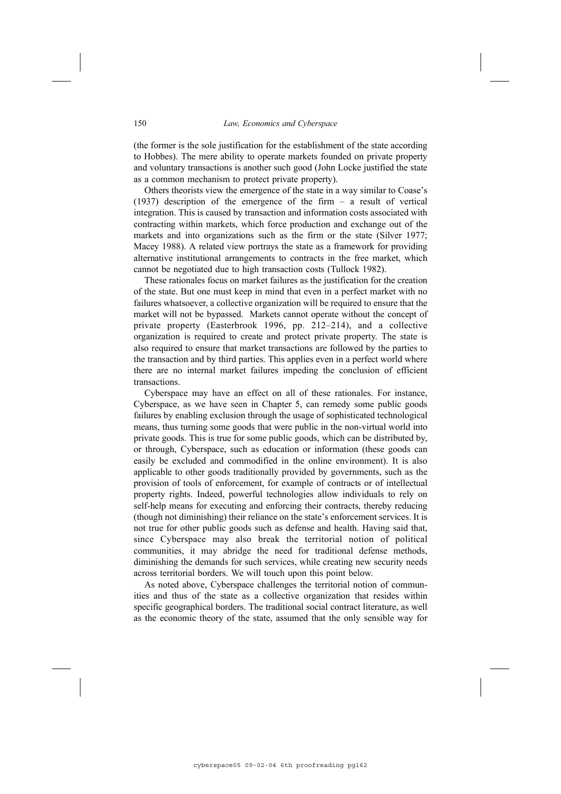(the former is the sole justification for the establishment of the state according to Hobbes). The mere ability to operate markets founded on private property and voluntary transactions is another such good (John Locke justified the state as a common mechanism to protect private property).

Others theorists view the emergence of the state in a way similar to Coase's  $(1937)$  description of the emergence of the firm – a result of vertical integration. This is caused by transaction and information costs associated with contracting within markets, which force production and exchange out of the markets and into organizations such as the firm or the state (Silver 1977; Macey 1988). A related view portrays the state as a framework for providing alternative institutional arrangements to contracts in the free market, which cannot be negotiated due to high transaction costs (Tullock 1982).

These rationales focus on market failures as the justification for the creation of the state. But one must keep in mind that even in a perfect market with no failures whatsoever, a collective organization will be required to ensure that the market will not be bypassed. Markets cannot operate without the concept of private property (Easterbrook 1996, pp. 212–214), and a collective organization is required to create and protect private property. The state is also required to ensure that market transactions are followed by the parties to the transaction and by third parties. This applies even in a perfect world where there are no internal market failures impeding the conclusion of efficient transactions.

Cyberspace may have an effect on all of these rationales. For instance, Cyberspace, as we have seen in Chapter 5, can remedy some public goods failures by enabling exclusion through the usage of sophisticated technological means, thus turning some goods that were public in the non-virtual world into private goods. This is true for some public goods, which can be distributed by, or through, Cyberspace, such as education or information (these goods can easily be excluded and commodified in the online environment). It is also applicable to other goods traditionally provided by governments, such as the provision of tools of enforcement, for example of contracts or of intellectual property rights. Indeed, powerful technologies allow individuals to rely on self-help means for executing and enforcing their contracts, thereby reducing (though not diminishing) their reliance on the state's enforcement services. It is not true for other public goods such as defense and health. Having said that, since Cyberspace may also break the territorial notion of political communities, it may abridge the need for traditional defense methods, diminishing the demands for such services, while creating new security needs across territorial borders. We will touch upon this point below.

As noted above, Cyberspace challenges the territorial notion of communities and thus of the state as a collective organization that resides within specific geographical borders. The traditional social contract literature, as well as the economic theory of the state, assumed that the only sensible way for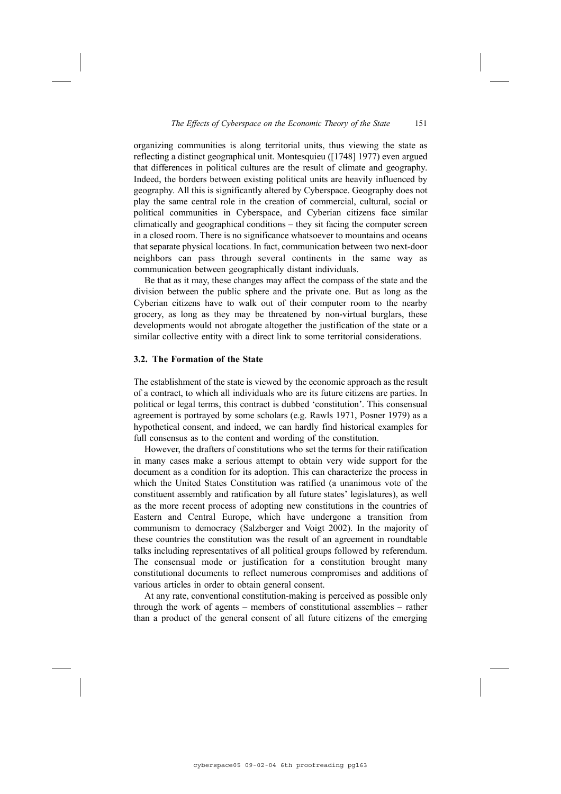organizing communities is along territorial units, thus viewing the state as reflecting a distinct geographical unit. Montesquieu ([1748] 1977) even argued that differences in political cultures are the result of climate and geography. Indeed, the borders between existing political units are heavily influenced by geography. All this is significantly altered by Cyberspace. Geography does not play the same central role in the creation of commercial, cultural, social or political communities in Cyberspace, and Cyberian citizens face similar climatically and geographical conditions – they sit facing the computer screen in a closed room. There is no significance whatsoever to mountains and oceans that separate physical locations. In fact, communication between two next-door neighbors can pass through several continents in the same way as communication between geographically distant individuals.

Be that as it may, these changes may affect the compass of the state and the division between the public sphere and the private one. But as long as the Cyberian citizens have to walk out of their computer room to the nearby grocery, as long as they may be threatened by non-virtual burglars, these developments would not abrogate altogether the justification of the state or a similar collective entity with a direct link to some territorial considerations.

#### 3.2. The Formation of the State

The establishment of the state is viewed by the economic approach as the result of a contract, to which all individuals who are its future citizens are parties. In political or legal terms, this contract is dubbed 'constitution'. This consensual agreement is portrayed by some scholars (e.g. Rawls 1971, Posner 1979) as a hypothetical consent, and indeed, we can hardly find historical examples for full consensus as to the content and wording of the constitution.

However, the drafters of constitutions who set the terms for their ratification in many cases make a serious attempt to obtain very wide support for the document as a condition for its adoption. This can characterize the process in which the United States Constitution was ratified (a unanimous vote of the constituent assembly and ratification by all future states' legislatures), as well as the more recent process of adopting new constitutions in the countries of Eastern and Central Europe, which have undergone a transition from communism to democracy (Salzberger and Voigt 2002). In the majority of these countries the constitution was the result of an agreement in roundtable talks including representatives of all political groups followed by referendum. The consensual mode or justification for a constitution brought many constitutional documents to reflect numerous compromises and additions of various articles in order to obtain general consent.

At any rate, conventional constitution-making is perceived as possible only through the work of agents  $-$  members of constitutional assemblies  $-$  rather than a product of the general consent of all future citizens of the emerging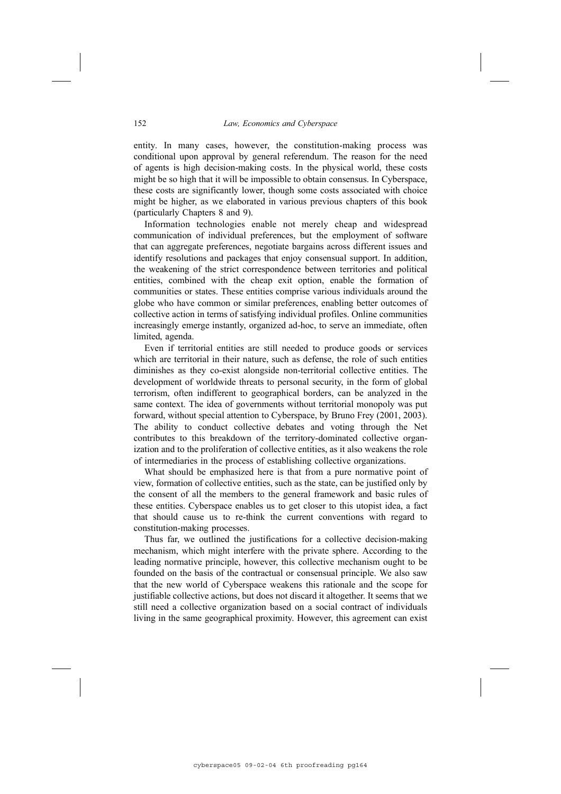entity. In many cases, however, the constitution-making process was conditional upon approval by general referendum. The reason for the need of agents is high decision-making costs. In the physical world, these costs might be so high that it will be impossible to obtain consensus. In Cyberspace, these costs are significantly lower, though some costs associated with choice might be higher, as we elaborated in various previous chapters of this book (particularly Chapters 8 and 9).

Information technologies enable not merely cheap and widespread communication of individual preferences, but the employment of software that can aggregate preferences, negotiate bargains across different issues and identify resolutions and packages that enjoy consensual support. In addition, the weakening of the strict correspondence between territories and political entities, combined with the cheap exit option, enable the formation of communities or states. These entities comprise various individuals around the globe who have common or similar preferences, enabling better outcomes of collective action in terms of satisfying individual profiles. Online communities increasingly emerge instantly, organized ad-hoc, to serve an immediate, often limited, agenda.

Even if territorial entities are still needed to produce goods or services which are territorial in their nature, such as defense, the role of such entities diminishes as they co-exist alongside non-territorial collective entities. The development of worldwide threats to personal security, in the form of global terrorism, often indifferent to geographical borders, can be analyzed in the same context. The idea of governments without territorial monopoly was put forward, without special attention to Cyberspace, by Bruno Frey (2001, 2003). The ability to conduct collective debates and voting through the Net contributes to this breakdown of the territory-dominated collective organization and to the proliferation of collective entities, as it also weakens the role of intermediaries in the process of establishing collective organizations.

What should be emphasized here is that from a pure normative point of view, formation of collective entities, such as the state, can be justified only by the consent of all the members to the general framework and basic rules of these entities. Cyberspace enables us to get closer to this utopist idea, a fact that should cause us to re-think the current conventions with regard to constitution-making processes.

Thus far, we outlined the justifications for a collective decision-making mechanism, which might interfere with the private sphere. According to the leading normative principle, however, this collective mechanism ought to be founded on the basis of the contractual or consensual principle. We also saw that the new world of Cyberspace weakens this rationale and the scope for justifiable collective actions, but does not discard it altogether. It seems that we still need a collective organization based on a social contract of individuals living in the same geographical proximity. However, this agreement can exist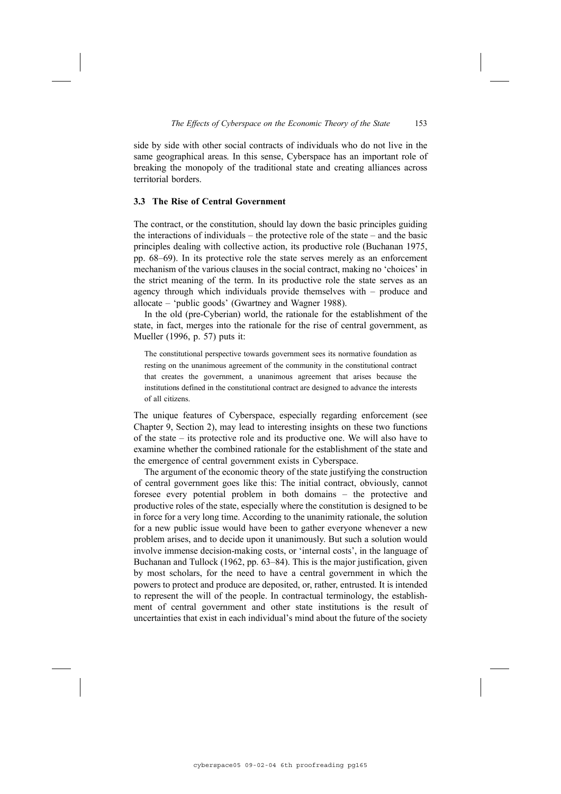side by side with other social contracts of individuals who do not live in the same geographical areas. In this sense, Cyberspace has an important role of breaking the monopoly of the traditional state and creating alliances across territorial borders.

# 3.3 The Rise of Central Government

The contract, or the constitution, should lay down the basic principles guiding the interactions of individuals – the protective role of the state – and the basic principles dealing with collective action, its productive role (Buchanan 1975, pp. 68–69). In its protective role the state serves merely as an enforcement mechanism of the various clauses in the social contract, making no 'choices' in the strict meaning of the term. In its productive role the state serves as an agency through which individuals provide themselves with - produce and allocate – 'public goods' (Gwartney and Wagner 1988).

In the old (pre-Cyberian) world, the rationale for the establishment of the state, in fact, merges into the rationale for the rise of central government, as Mueller (1996, p. 57) puts it:

The constitutional perspective towards government sees its normative foundation as resting on the unanimous agreement of the community in the constitutional contract that creates the government, a unanimous agreement that arises because the institutions defined in the constitutional contract are designed to advance the interests of all citizens.

The unique features of Cyberspace, especially regarding enforcement (see Chapter 9, Section 2), may lead to interesting insights on these two functions of the state  $-$  its protective role and its productive one. We will also have to examine whether the combined rationale for the establishment of the state and the emergence of central government exists in Cyberspace.

The argument of the economic theory of the state justifying the construction of central government goes like this: The initial contract, obviously, cannot foresee every potential problem in both domains – the protective and productive roles of the state, especially where the constitution is designed to be in force for a very long time. According to the unanimity rationale, the solution for a new public issue would have been to gather everyone whenever a new problem arises, and to decide upon it unanimously. But such a solution would involve immense decision-making costs, or 'internal costs', in the language of Buchanan and Tullock (1962, pp. 63-84). This is the major justification, given by most scholars, for the need to have a central government in which the powers to protect and produce are deposited, or, rather, entrusted. It is intended to represent the will of the people. In contractual terminology, the establishment of central government and other state institutions is the result of uncertainties that exist in each individual's mind about the future of the society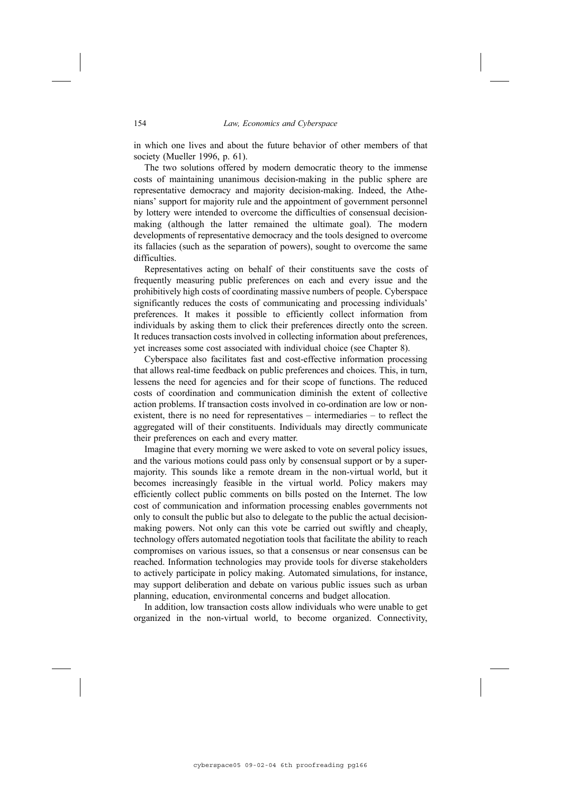in which one lives and about the future behavior of other members of that society (Mueller 1996, p. 61).

The two solutions offered by modern democratic theory to the immense costs of maintaining unanimous decision-making in the public sphere are representative democracy and majority decision-making. Indeed, the Athenians' support for majority rule and the appointment of government personnel by lottery were intended to overcome the difficulties of consensual decisionmaking (although the latter remained the ultimate goal). The modern developments of representative democracy and the tools designed to overcome its fallacies (such as the separation of powers), sought to overcome the same difficulties

Representatives acting on behalf of their constituents save the costs of frequently measuring public preferences on each and every issue and the prohibitively high costs of coordinating massive numbers of people. Cyberspace significantly reduces the costs of communicating and processing individuals' preferences. It makes it possible to efficiently collect information from individuals by asking them to click their preferences directly onto the screen. It reduces transaction costs involved in collecting information about preferences, yet increases some cost associated with individual choice (see Chapter 8).

Cyberspace also facilitates fast and cost-effective information processing that allows real-time feedback on public preferences and choices. This, in turn, lessens the need for agencies and for their scope of functions. The reduced costs of coordination and communication diminish the extent of collective action problems. If transaction costs involved in co-ordination are low or nonexistent, there is no need for representatives – intermediaries – to reflect the aggregated will of their constituents. Individuals may directly communicate their preferences on each and every matter.

Imagine that every morning we were asked to vote on several policy issues. and the various motions could pass only by consensual support or by a supermajority. This sounds like a remote dream in the non-virtual world, but it becomes increasingly feasible in the virtual world. Policy makers may efficiently collect public comments on bills posted on the Internet. The low cost of communication and information processing enables governments not only to consult the public but also to delegate to the public the actual decisionmaking powers. Not only can this vote be carried out swiftly and cheaply, technology offers automated negotiation tools that facilitate the ability to reach compromises on various issues, so that a consensus or near consensus can be reached. Information technologies may provide tools for diverse stakeholders to actively participate in policy making. Automated simulations, for instance, may support deliberation and debate on various public issues such as urban planning, education, environmental concerns and budget allocation.

In addition, low transaction costs allow individuals who were unable to get organized in the non-virtual world, to become organized. Connectivity,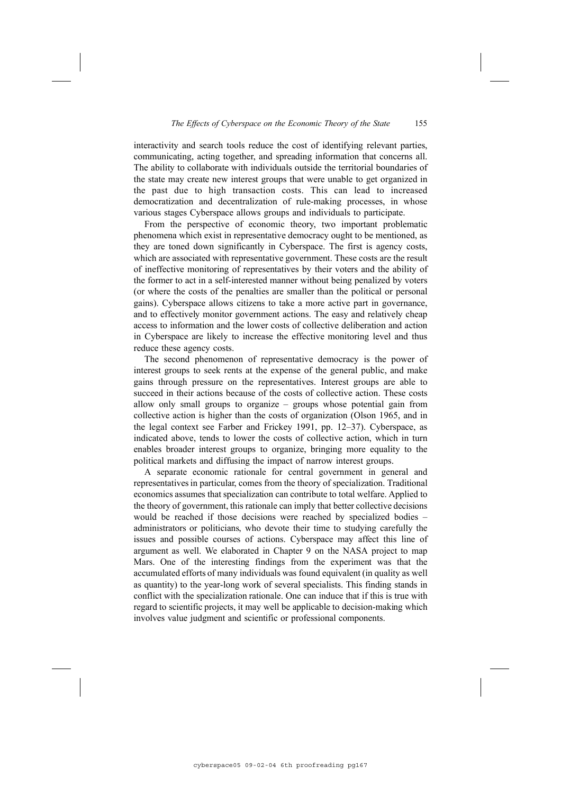#### The Effects of Cyberspace on the Economic Theory of the State 155

interactivity and search tools reduce the cost of identifying relevant parties, communicating, acting together, and spreading information that concerns all. The ability to collaborate with individuals outside the territorial boundaries of the state may create new interest groups that were unable to get organized in the past due to high transaction costs. This can lead to increased democratization and decentralization of rule-making processes, in whose various stages Cyberspace allows groups and individuals to participate.

From the perspective of economic theory, two important problematic phenomena which exist in representative democracy ought to be mentioned, as they are toned down significantly in Cyberspace. The first is agency costs, which are associated with representative government. These costs are the result of ineffective monitoring of representatives by their voters and the ability of the former to act in a self-interested manner without being penalized by voters (or where the costs of the penalties are smaller than the political or personal gains). Cyberspace allows citizens to take a more active part in governance, and to effectively monitor government actions. The easy and relatively cheap access to information and the lower costs of collective deliberation and action in Cyberspace are likely to increase the effective monitoring level and thus reduce these agency costs.

The second phenomenon of representative democracy is the power of interest groups to seek rents at the expense of the general public, and make gains through pressure on the representatives. Interest groups are able to succeed in their actions because of the costs of collective action. These costs allow only small groups to organize  $-$  groups whose potential gain from collective action is higher than the costs of organization (Olson 1965, and in the legal context see Farber and Frickey 1991, pp. 12-37). Cyberspace, as indicated above, tends to lower the costs of collective action, which in turn enables broader interest groups to organize, bringing more equality to the political markets and diffusing the impact of narrow interest groups.

A separate economic rationale for central government in general and representatives in particular, comes from the theory of specialization. Traditional economics assumes that specialization can contribute to total welfare. Applied to the theory of government, this rationale can imply that better collective decisions would be reached if those decisions were reached by specialized bodies administrators or politicians, who devote their time to studying carefully the issues and possible courses of actions. Cyberspace may affect this line of argument as well. We elaborated in Chapter 9 on the NASA project to map Mars. One of the interesting findings from the experiment was that the accumulated efforts of many individuals was found equivalent (in quality as well as quantity) to the year-long work of several specialists. This finding stands in conflict with the specialization rationale. One can induce that if this is true with regard to scientific projects, it may well be applicable to decision-making which involves value judgment and scientific or professional components.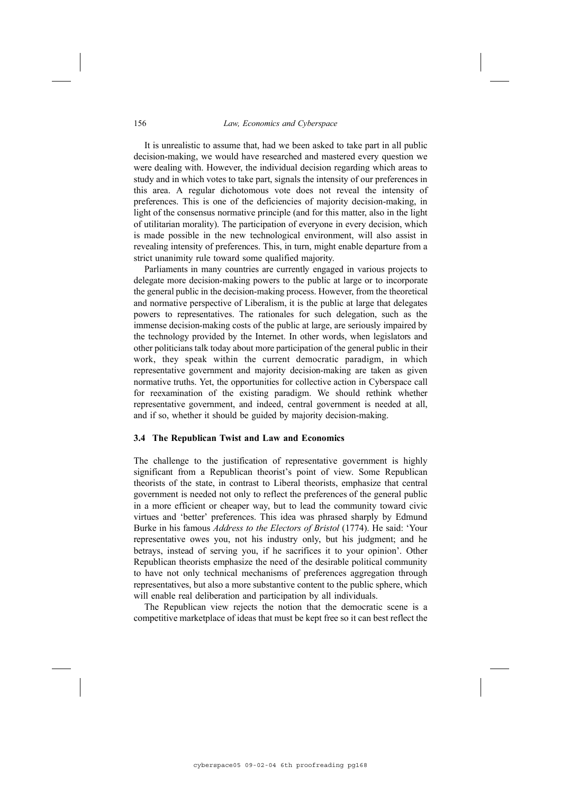It is unrealistic to assume that, had we been asked to take part in all public decision-making, we would have researched and mastered every question we were dealing with. However, the individual decision regarding which areas to study and in which votes to take part, signals the intensity of our preferences in this area. A regular dichotomous vote does not reveal the intensity of preferences. This is one of the deficiencies of majority decision-making, in light of the consensus normative principle (and for this matter, also in the light of utilitarian morality). The participation of everyone in every decision, which is made possible in the new technological environment, will also assist in revealing intensity of preferences. This, in turn, might enable departure from a strict unanimity rule toward some qualified majority.

Parliaments in many countries are currently engaged in various projects to delegate more decision-making powers to the public at large or to incorporate the general public in the decision-making process. However, from the theoretical and normative perspective of Liberalism, it is the public at large that delegates powers to representatives. The rationales for such delegation, such as the immense decision-making costs of the public at large, are seriously impaired by the technology provided by the Internet. In other words, when legislators and other politicians talk today about more participation of the general public in their work, they speak within the current democratic paradigm, in which representative government and majority decision-making are taken as given normative truths. Yet, the opportunities for collective action in Cyberspace call for reexamination of the existing paradigm. We should rethink whether representative government, and indeed, central government is needed at all, and if so, whether it should be guided by majority decision-making.

#### 3.4 The Republican Twist and Law and Economics

The challenge to the justification of representative government is highly significant from a Republican theorist's point of view. Some Republican theorists of the state, in contrast to Liberal theorists, emphasize that central government is needed not only to reflect the preferences of the general public in a more efficient or cheaper way, but to lead the community toward civic virtues and 'better' preferences. This idea was phrased sharply by Edmund Burke in his famous *Address to the Electors of Bristol* (1774). He said: 'Your representative owes you, not his industry only, but his judgment; and he betrays, instead of serving you, if he sacrifices it to your opinion'. Other Republican theorists emphasize the need of the desirable political community to have not only technical mechanisms of preferences aggregation through representatives, but also a more substantive content to the public sphere, which will enable real deliberation and participation by all individuals.

The Republican view rejects the notion that the democratic scene is a competitive market place of ideas that must be kept free so it can best reflect the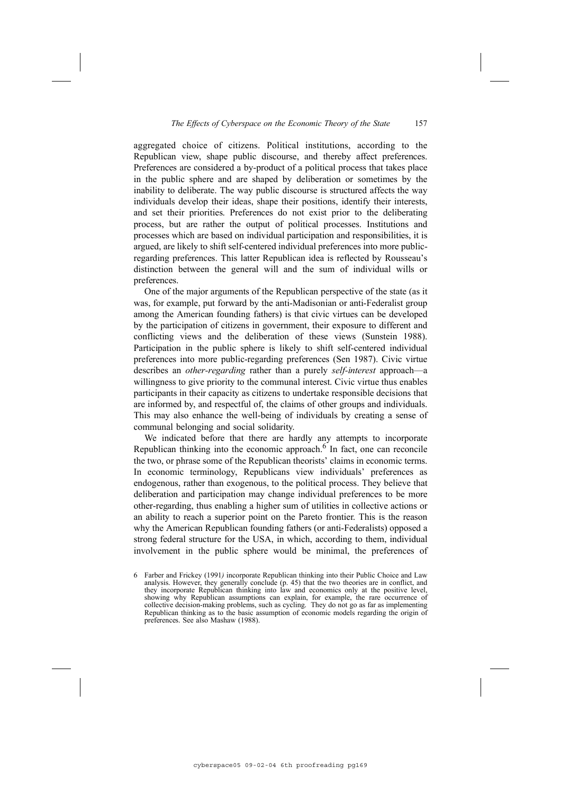#### The Effects of Cyberspace on the Economic Theory of the State 157

aggregated choice of citizens. Political institutions, according to the Republican view, shape public discourse, and thereby affect preferences. Preferences are considered a by-product of a political process that takes place in the public sphere and are shaped by deliberation or sometimes by the inability to deliberate. The way public discourse is structured affects the way individuals develop their ideas, shape their positions, identify their interests, and set their priorities. Preferences do not exist prior to the deliberating process, but are rather the output of political processes. Institutions and processes which are based on individual participation and responsibilities, it is argued, are likely to shift self-centered individual preferences into more publicregarding preferences. This latter Republican idea is reflected by Rousseau's distinction between the general will and the sum of individual wills or preferences.

One of the major arguments of the Republican perspective of the state (as it was, for example, put forward by the anti-Madisonian or anti-Federalist group among the American founding fathers) is that civic virtues can be developed by the participation of citizens in government, their exposure to different and conflicting views and the deliberation of these views (Sunstein 1988). Participation in the public sphere is likely to shift self-centered individual preferences into more public-regarding preferences (Sen 1987). Civic virtue describes an other-regarding rather than a purely self-interest approach-a willingness to give priority to the communal interest. Civic virtue thus enables participants in their capacity as citizens to undertake responsible decisions that are informed by, and respectful of, the claims of other groups and individuals. This may also enhance the well-being of individuals by creating a sense of communal belonging and social solidarity.

We indicated before that there are hardly any attempts to incorporate Republican thinking into the economic approach. In fact, one can reconcile the two, or phrase some of the Republican theorists' claims in economic terms. In economic terminology, Republicans view individuals' preferences as endogenous, rather than exogenous, to the political process. They believe that deliberation and participation may change individual preferences to be more other-regarding, thus enabling a higher sum of utilities in collective actions or an ability to reach a superior point on the Pareto frontier. This is the reason why the American Republican founding fathers (or anti-Federalists) opposed a strong federal structure for the USA, in which, according to them, individual involvement in the public sphere would be minimal, the preferences of

<sup>6</sup> Farber and Frickey (1991) incorporate Republican thinking into their Public Choice and Law analysis. However, they generally conclude  $(p. 45)$  that the two theories are in conflict, and they incorporate Republican thinking into law and economics only at the positive level, showing why Republican assumptions can explain, for example, the rare occurrence of<br>collective decision-making problems, such as cycling. They do not go as far as implementing Republican thinking as to the basic assumption of economic models regarding the origin of preferences. See also Mashaw (1988).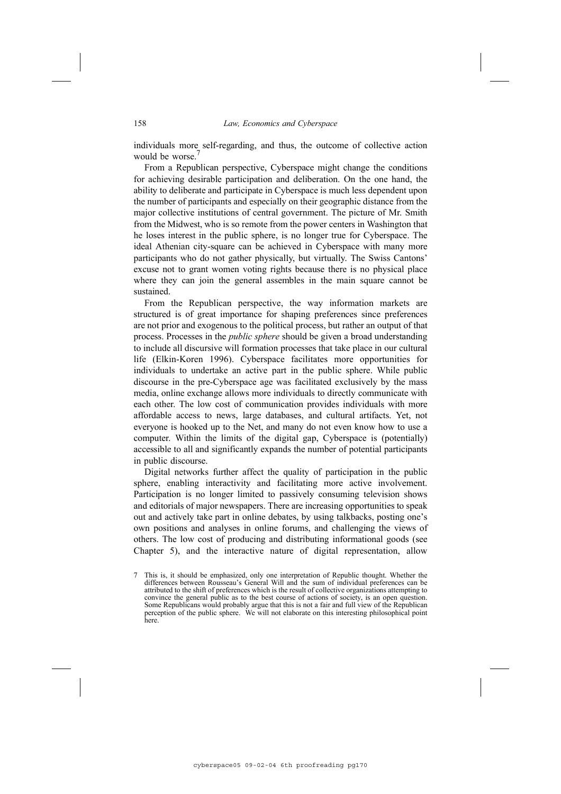individuals more self-regarding, and thus, the outcome of collective action would be worse.

From a Republican perspective, Cyberspace might change the conditions for achieving desirable participation and deliberation. On the one hand, the ability to deliberate and participate in Cyberspace is much less dependent upon the number of participants and especially on their geographic distance from the major collective institutions of central government. The picture of Mr. Smith from the Midwest, who is so remote from the power centers in Washington that he loses interest in the public sphere, is no longer true for Cyberspace. The ideal Athenian city-square can be achieved in Cyberspace with many more participants who do not gather physically, but virtually. The Swiss Cantons' excuse not to grant women voting rights because there is no physical place where they can join the general assembles in the main square cannot be sustained.

From the Republican perspective, the way information markets are structured is of great importance for shaping preferences since preferences are not prior and exogenous to the political process, but rather an output of that process. Processes in the *public sphere* should be given a broad understanding to include all discursive will formation processes that take place in our cultural life (Elkin-Koren 1996). Cyberspace facilitates more opportunities for individuals to undertake an active part in the public sphere. While public discourse in the pre-Cyberspace age was facilitated exclusively by the mass media, online exchange allows more individuals to directly communicate with each other. The low cost of communication provides individuals with more affordable access to news, large databases, and cultural artifacts. Yet, not everyone is hooked up to the Net, and many do not even know how to use a computer. Within the limits of the digital gap, Cyberspace is (potentially) accessible to all and significantly expands the number of potential participants in public discourse.

Digital networks further affect the quality of participation in the public sphere, enabling interactivity and facilitating more active involvement. Participation is no longer limited to passively consuming television shows and editorials of major newspapers. There are increasing opportunities to speak out and actively take part in online debates, by using talkbacks, posting one's own positions and analyses in online forums, and challenging the views of others. The low cost of producing and distributing informational goods (see Chapter 5), and the interactive nature of digital representation, allow

 $\overline{7}$ This is, it should be emphasized, only one interpretation of Republic thought. Whether the differences between Rousseau's General Will and the sum of individual preferences can be attributed to the shift of preferences which is the result of collective organizations attempting to convince the general public as to the best course of actions of society, is an open question. Some Republicans would probably argue that this is not a fair and full view of the Republican perception of the public sphere. We will not elaborate on this interesting philosophical point here.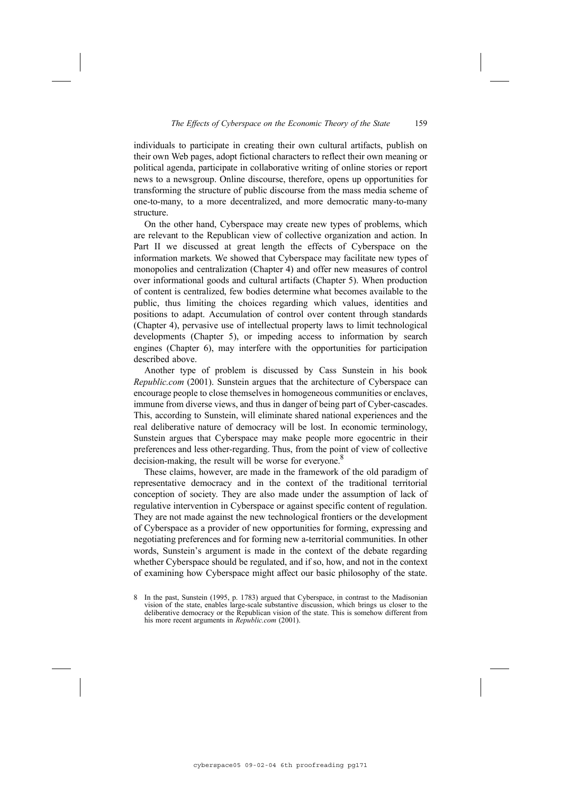individuals to participate in creating their own cultural artifacts, publish on their own Web pages, adopt fictional characters to reflect their own meaning or political agenda, participate in collaborative writing of online stories or report news to a newsgroup. Online discourse, therefore, opens up opportunities for transforming the structure of public discourse from the mass media scheme of one-to-many, to a more decentralized, and more democratic many-to-many structure.

On the other hand, Cyberspace may create new types of problems, which are relevant to the Republican view of collective organization and action. In Part II we discussed at great length the effects of Cyberspace on the information markets. We showed that Cyberspace may facilitate new types of monopolies and centralization (Chapter 4) and offer new measures of control over informational goods and cultural artifacts (Chapter 5). When production of content is centralized, few bodies determine what becomes available to the public, thus limiting the choices regarding which values, identities and positions to adapt. Accumulation of control over content through standards (Chapter 4), pervasive use of intellectual property laws to limit technological developments (Chapter 5), or impeding access to information by search engines (Chapter 6), may interfere with the opportunities for participation described above.

Another type of problem is discussed by Cass Sunstein in his book Republic.com (2001). Sunstein argues that the architecture of Cyberspace can encourage people to close themselves in homogeneous communities or enclaves, immune from diverse views, and thus in danger of being part of Cyber-cascades. This, according to Sunstein, will eliminate shared national experiences and the real deliberative nature of democracy will be lost. In economic terminology, Sunstein argues that Cyberspace may make people more egocentric in their preferences and less other-regarding. Thus, from the point of view of collective decision-making, the result will be worse for everyone.<sup>8</sup>

These claims, however, are made in the framework of the old paradigm of representative democracy and in the context of the traditional territorial conception of society. They are also made under the assumption of lack of regulative intervention in Cyberspace or against specific content of regulation. They are not made against the new technological frontiers or the development of Cyberspace as a provider of new opportunities for forming, expressing and negotiating preferences and for forming new a-territorial communities. In other words, Sunstein's argument is made in the context of the debate regarding whether Cyberspace should be regulated, and if so, how, and not in the context of examining how Cyberspace might affect our basic philosophy of the state.

<sup>8</sup> In the past, Sunstein (1995, p. 1783) argued that Cyberspace, in contrast to the Madisonian vision of the state, enables large-scale substantive discussion, which brings us closer to the deliberative democracy or the Republican vision of the state. This is somehow different from his more recent arguments in Republic.com (2001).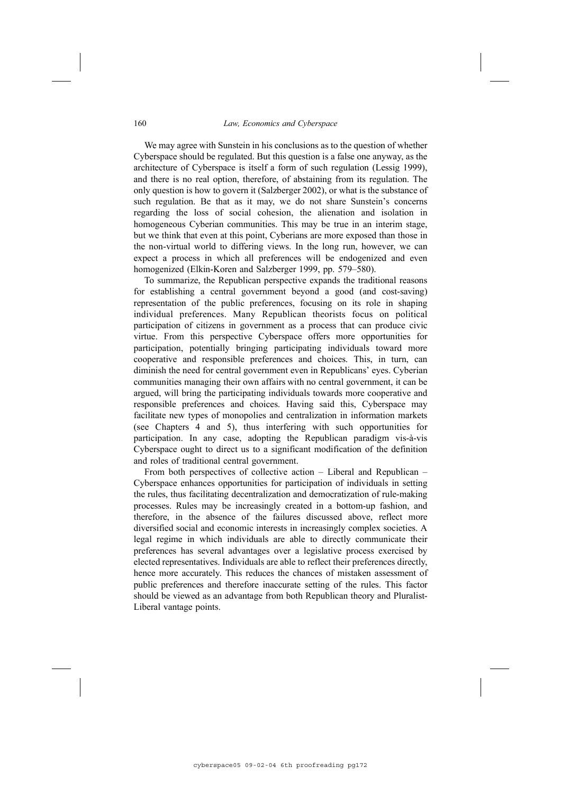We may agree with Sunstein in his conclusions as to the question of whether Cyberspace should be regulated. But this question is a false one anyway, as the architecture of Cyberspace is itself a form of such regulation (Lessig 1999), and there is no real option, therefore, of abstaining from its regulation. The only question is how to govern it (Salzberger 2002), or what is the substance of such regulation. Be that as it may, we do not share Sunstein's concerns regarding the loss of social cohesion, the alienation and isolation in homogeneous Cyberian communities. This may be true in an interim stage, but we think that even at this point. Cyberians are more exposed than those in the non-virtual world to differing views. In the long run, however, we can expect a process in which all preferences will be endogenized and even homogenized (Elkin-Koren and Salzberger 1999, pp. 579–580).

To summarize, the Republican perspective expands the traditional reasons for establishing a central government beyond a good (and cost-saving) representation of the public preferences, focusing on its role in shaping individual preferences. Many Republican theorists focus on political participation of citizens in government as a process that can produce civic virtue. From this perspective Cyberspace offers more opportunities for participation, potentially bringing participating individuals toward more cooperative and responsible preferences and choices. This, in turn, can diminish the need for central government even in Republicans' eyes. Cyberian communities managing their own affairs with no central government, it can be argued, will bring the participating individuals towards more cooperative and responsible preferences and choices. Having said this, Cyberspace may facilitate new types of monopolies and centralization in information markets (see Chapters 4 and 5), thus interfering with such opportunities for participation. In any case, adopting the Republican paradigm vis-à-vis Cyberspace ought to direct us to a significant modification of the definition and roles of traditional central government.

From both perspectives of collective action – Liberal and Republican – Cyberspace enhances opportunities for participation of individuals in setting the rules, thus facilitating decentralization and democratization of rule-making processes. Rules may be increasingly created in a bottom-up fashion, and therefore, in the absence of the failures discussed above, reflect more diversified social and economic interests in increasingly complex societies. A legal regime in which individuals are able to directly communicate their preferences has several advantages over a legislative process exercised by elected representatives. Individuals are able to reflect their preferences directly, hence more accurately. This reduces the chances of mistaken assessment of public preferences and therefore inaccurate setting of the rules. This factor should be viewed as an advantage from both Republican theory and Pluralist-Liberal vantage points.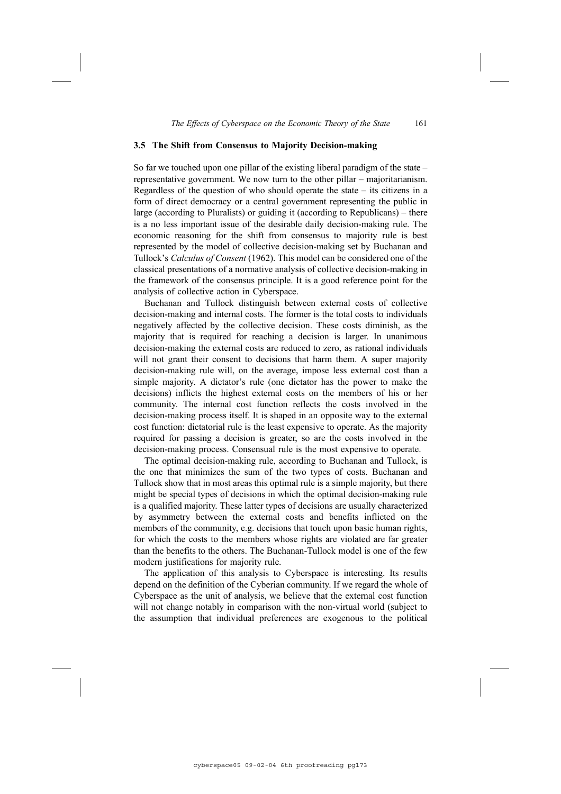#### The Effects of Cyberspace on the Economic Theory of the State

161

#### 3.5 The Shift from Consensus to Majority Decision-making

So far we touched upon one pillar of the existing liberal paradigm of the state – representative government. We now turn to the other pillar - majoritarianism. Regardless of the question of who should operate the state  $-$  its citizens in a form of direct democracy or a central government representing the public in large (according to Pluralists) or guiding it (according to Republicans) – there is a no less important issue of the desirable daily decision-making rule. The economic reasoning for the shift from consensus to majority rule is best represented by the model of collective decision-making set by Buchanan and Tullock's Calculus of Consent (1962). This model can be considered one of the classical presentations of a normative analysis of collective decision-making in the framework of the consensus principle. It is a good reference point for the analysis of collective action in Cyberspace.

Buchanan and Tullock distinguish between external costs of collective decision-making and internal costs. The former is the total costs to individuals negatively affected by the collective decision. These costs diminish, as the majority that is required for reaching a decision is larger. In unanimous decision-making the external costs are reduced to zero, as rational individuals will not grant their consent to decisions that harm them. A super majority decision-making rule will, on the average, impose less external cost than a simple majority. A dictator's rule (one dictator has the power to make the decisions) inflicts the highest external costs on the members of his or her community. The internal cost function reflects the costs involved in the decision-making process itself. It is shaped in an opposite way to the external cost function: dictatorial rule is the least expensive to operate. As the majority required for passing a decision is greater, so are the costs involved in the decision-making process. Consensual rule is the most expensive to operate.

The optimal decision-making rule, according to Buchanan and Tullock, is the one that minimizes the sum of the two types of costs. Buchanan and Tullock show that in most areas this optimal rule is a simple majority, but there might be special types of decisions in which the optimal decision-making rule is a qualified majority. These latter types of decisions are usually characterized by asymmetry between the external costs and benefits inflicted on the members of the community, e.g. decisions that touch upon basic human rights, for which the costs to the members whose rights are violated are far greater than the benefits to the others. The Buchanan-Tullock model is one of the few modern justifications for majority rule.

The application of this analysis to Cyberspace is interesting. Its results depend on the definition of the Cyberian community. If we regard the whole of Cyberspace as the unit of analysis, we believe that the external cost function will not change notably in comparison with the non-virtual world (subject to the assumption that individual preferences are exogenous to the political

cyberspace05 09-02-04 6th proofreading pg173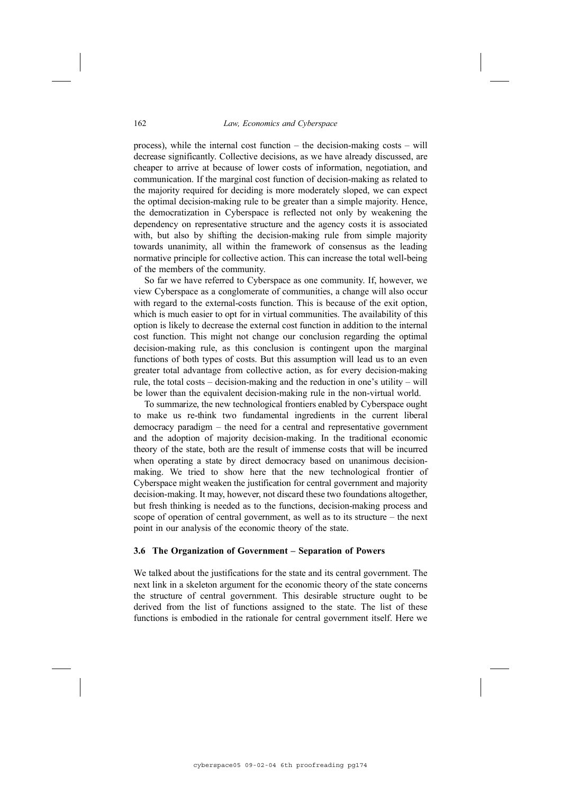process), while the internal cost function – the decision-making costs – will decrease significantly. Collective decisions, as we have already discussed, are cheaper to arrive at because of lower costs of information, negotiation, and communication. If the marginal cost function of decision-making as related to the majority required for deciding is more moderately sloped, we can expect the optimal decision-making rule to be greater than a simple majority. Hence, the democratization in Cyberspace is reflected not only by weakening the dependency on representative structure and the agency costs it is associated with, but also by shifting the decision-making rule from simple majority towards unanimity, all within the framework of consensus as the leading normative principle for collective action. This can increase the total well-being of the members of the community.

So far we have referred to Cyberspace as one community. If, however, we view Cyberspace as a conglomerate of communities, a change will also occur with regard to the external-costs function. This is because of the exit option, which is much easier to opt for in virtual communities. The availability of this option is likely to decrease the external cost function in addition to the internal cost function. This might not change our conclusion regarding the optimal decision-making rule, as this conclusion is contingent upon the marginal functions of both types of costs. But this assumption will lead us to an even greater total advantage from collective action, as for every decision-making rule, the total costs – decision-making and the reduction in one's utility – will be lower than the equivalent decision-making rule in the non-virtual world.

To summarize, the new technological frontiers enabled by Cyberspace ought to make us re-think two fundamental ingredients in the current liberal democracy paradigm  $-$  the need for a central and representative government and the adoption of majority decision-making. In the traditional economic theory of the state, both are the result of immense costs that will be incurred when operating a state by direct democracy based on unanimous decisionmaking. We tried to show here that the new technological frontier of Cyberspace might weaken the justification for central government and majority decision-making. It may, however, not discard these two foundations altogether, but fresh thinking is needed as to the functions, decision-making process and scope of operation of central government, as well as to its structure – the next point in our analysis of the economic theory of the state.

#### 3.6 The Organization of Government – Separation of Powers

We talked about the justifications for the state and its central government. The next link in a skeleton argument for the economic theory of the state concerns the structure of central government. This desirable structure ought to be derived from the list of functions assigned to the state. The list of these functions is embodied in the rationale for central government itself. Here we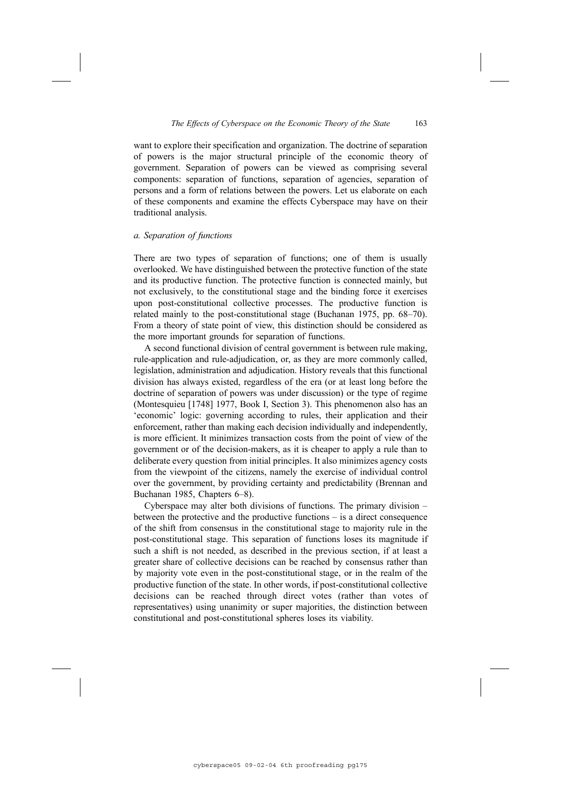want to explore their specification and organization. The doctrine of separation of powers is the major structural principle of the economic theory of government. Separation of powers can be viewed as comprising several components: separation of functions, separation of agencies, separation of persons and a form of relations between the powers. Let us elaborate on each of these components and examine the effects Cyberspace may have on their traditional analysis.

### a. Separation of functions

There are two types of separation of functions; one of them is usually overlooked. We have distinguished between the protective function of the state and its productive function. The protective function is connected mainly, but not exclusively, to the constitutional stage and the binding force it exercises upon post-constitutional collective processes. The productive function is related mainly to the post-constitutional stage (Buchanan 1975, pp. 68–70). From a theory of state point of view, this distinction should be considered as the more important grounds for separation of functions.

A second functional division of central government is between rule making, rule-application and rule-adjudication, or, as they are more commonly called, legislation, administration and adjudication. History reveals that this functional division has always existed, regardless of the era (or at least long before the doctrine of separation of powers was under discussion) or the type of regime (Montesquieu [1748] 1977, Book I, Section 3). This phenomenon also has an 'economic' logic: governing according to rules, their application and their enforcement, rather than making each decision individually and independently, is more efficient. It minimizes transaction costs from the point of view of the government or of the decision-makers, as it is cheaper to apply a rule than to deliberate every question from initial principles. It also minimizes agency costs from the viewpoint of the citizens, namely the exercise of individual control over the government, by providing certainty and predictability (Brennan and Buchanan 1985, Chapters 6-8).

Cyberspace may alter both divisions of functions. The primary division – between the protective and the productive functions  $-$  is a direct consequence of the shift from consensus in the constitutional stage to majority rule in the post-constitutional stage. This separation of functions loses its magnitude if such a shift is not needed, as described in the previous section, if at least a greater share of collective decisions can be reached by consensus rather than by majority vote even in the post-constitutional stage, or in the realm of the productive function of the state. In other words, if post-constitutional collective decisions can be reached through direct votes (rather than votes of representatives) using unanimity or super majorities, the distinction between constitutional and post-constitutional spheres loses its viability.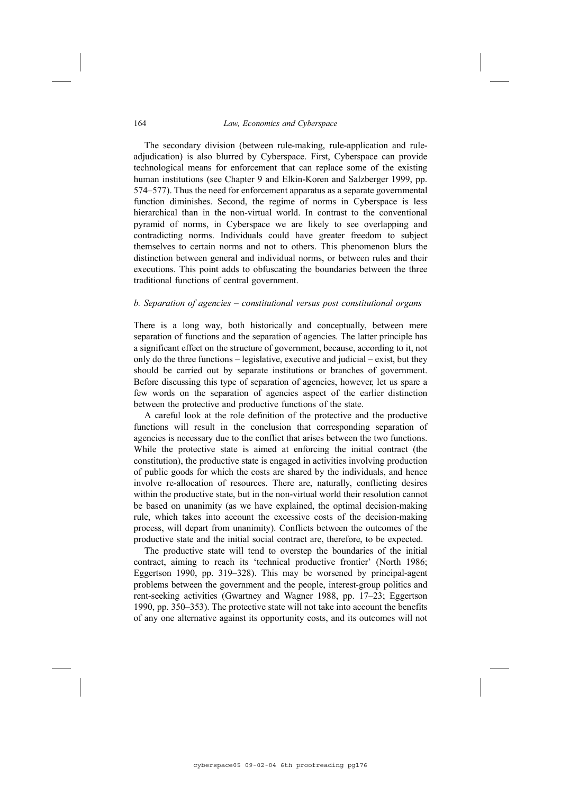The secondary division (between rule-making, rule-application and ruleadjudication) is also blurred by Cyberspace. First, Cyberspace can provide technological means for enforcement that can replace some of the existing human institutions (see Chapter 9 and Elkin-Koren and Salzberger 1999, pp. 574–577). Thus the need for enforcement apparatus as a separate governmental function diminishes. Second, the regime of norms in Cyberspace is less hierarchical than in the non-virtual world. In contrast to the conventional pyramid of norms, in Cyberspace we are likely to see overlapping and contradicting norms. Individuals could have greater freedom to subject themselves to certain norms and not to others. This phenomenon blurs the distinction between general and individual norms, or between rules and their executions. This point adds to obfuscating the boundaries between the three traditional functions of central government.

### b. Separation of agencies – constitutional versus post constitutional organs

There is a long way, both historically and conceptually, between mere separation of functions and the separation of agencies. The latter principle has a significant effect on the structure of government, because, according to it, not only do the three functions – legislative, executive and judicial – exist, but they should be carried out by separate institutions or branches of government. Before discussing this type of separation of agencies, however, let us spare a few words on the separation of agencies aspect of the earlier distinction between the protective and productive functions of the state.

A careful look at the role definition of the protective and the productive functions will result in the conclusion that corresponding separation of agencies is necessary due to the conflict that arises between the two functions. While the protective state is aimed at enforcing the initial contract (the constitution), the productive state is engaged in activities involving production of public goods for which the costs are shared by the individuals, and hence involve re-allocation of resources. There are, naturally, conflicting desires within the productive state, but in the non-virtual world their resolution cannot be based on unanimity (as we have explained, the optimal decision-making rule, which takes into account the excessive costs of the decision-making process, will depart from unanimity). Conflicts between the outcomes of the productive state and the initial social contract are, therefore, to be expected.

The productive state will tend to overstep the boundaries of the initial contract, aiming to reach its 'technical productive frontier' (North 1986; Eggertson 1990, pp. 319–328). This may be worsened by principal-agent problems between the government and the people, interest-group politics and rent-seeking activities (Gwartney and Wagner 1988, pp. 17–23; Eggertson 1990, pp. 350–353). The protective state will not take into account the benefits of any one alternative against its opportunity costs, and its outcomes will not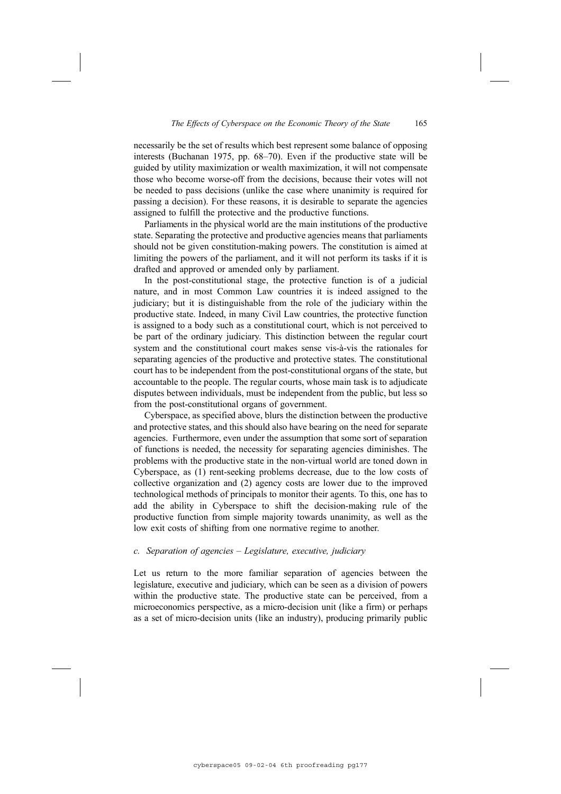necessarily be the set of results which best represent some balance of opposing interests (Buchanan 1975, pp. 68-70). Even if the productive state will be guided by utility maximization or wealth maximization, it will not compensate those who become worse-off from the decisions, because their votes will not be needed to pass decisions (unlike the case where unanimity is required for passing a decision). For these reasons, it is desirable to separate the agencies assigned to fulfill the protective and the productive functions.

Parliaments in the physical world are the main institutions of the productive state. Separating the protective and productive agencies means that parliaments should not be given constitution-making powers. The constitution is aimed at limiting the powers of the parliament, and it will not perform its tasks if it is drafted and approved or amended only by parliament.

In the post-constitutional stage, the protective function is of a judicial nature, and in most Common Law countries it is indeed assigned to the judiciary; but it is distinguishable from the role of the judiciary within the productive state. Indeed, in many Civil Law countries, the protective function is assigned to a body such as a constitutional court, which is not perceived to be part of the ordinary judiciary. This distinction between the regular court system and the constitutional court makes sense vis-à-vis the rationales for separating agencies of the productive and protective states. The constitutional court has to be independent from the post-constitutional organs of the state, but accountable to the people. The regular courts, whose main task is to adjudicate disputes between individuals, must be independent from the public, but less so from the post-constitutional organs of government.

Cyberspace, as specified above, blurs the distinction between the productive and protective states, and this should also have bearing on the need for separate agencies. Furthermore, even under the assumption that some sort of separation of functions is needed, the necessity for separating agencies diminishes. The problems with the productive state in the non-virtual world are toned down in Cyberspace, as (1) rent-seeking problems decrease, due to the low costs of collective organization and (2) agency costs are lower due to the improved technological methods of principals to monitor their agents. To this, one has to add the ability in Cyberspace to shift the decision-making rule of the productive function from simple majority towards unanimity, as well as the low exit costs of shifting from one normative regime to another.

### c. Separation of agencies - Legislature, executive, judiciary

Let us return to the more familiar separation of agencies between the legislature, executive and judiciary, which can be seen as a division of powers within the productive state. The productive state can be perceived, from a microeconomics perspective, as a micro-decision unit (like a firm) or perhaps as a set of micro-decision units (like an industry), producing primarily public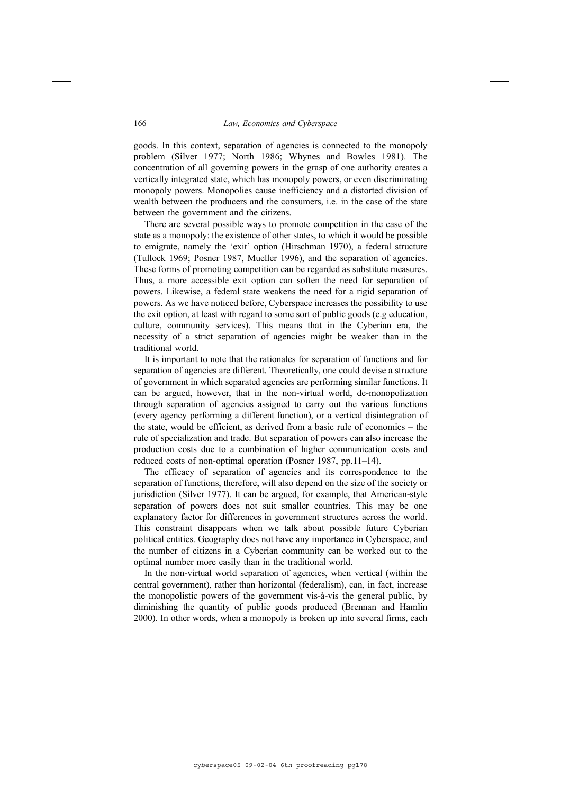goods. In this context, separation of agencies is connected to the monopoly problem (Silver 1977; North 1986; Whynes and Bowles 1981). The concentration of all governing powers in the grasp of one authority creates a vertically integrated state, which has monopoly powers, or even discriminating monopoly powers. Monopolies cause inefficiency and a distorted division of wealth between the producers and the consumers, i.e. in the case of the state between the government and the citizens.

There are several possible ways to promote competition in the case of the state as a monopoly: the existence of other states, to which it would be possible to emigrate, namely the 'exit' option (Hirschman 1970), a federal structure (Tullock 1969; Posner 1987, Mueller 1996), and the separation of agencies. These forms of promoting competition can be regarded as substitute measures. Thus, a more accessible exit option can soften the need for separation of powers. Likewise, a federal state weakens the need for a rigid separation of powers. As we have noticed before, Cyberspace increases the possibility to use the exit option, at least with regard to some sort of public goods (e.g education, culture, community services). This means that in the Cyberian era, the necessity of a strict separation of agencies might be weaker than in the traditional world.

It is important to note that the rationales for separation of functions and for separation of agencies are different. Theoretically, one could devise a structure of government in which separated agencies are performing similar functions. It can be argued, however, that in the non-virtual world, de-monopolization through separation of agencies assigned to carry out the various functions (every agency performing a different function), or a vertical disintegration of the state, would be efficient, as derived from a basic rule of economics - the rule of specialization and trade. But separation of powers can also increase the production costs due to a combination of higher communication costs and reduced costs of non-optimal operation (Posner 1987, pp.11–14).

The efficacy of separation of agencies and its correspondence to the separation of functions, therefore, will also depend on the size of the society or jurisdiction (Silver 1977). It can be argued, for example, that American-style separation of powers does not suit smaller countries. This may be one explanatory factor for differences in government structures across the world. This constraint disappears when we talk about possible future Cyberian political entities. Geography does not have any importance in Cyberspace, and the number of citizens in a Cyberian community can be worked out to the optimal number more easily than in the traditional world.

In the non-virtual world separation of agencies, when vertical (within the central government), rather than horizontal (federalism), can, in fact, increase the monopolistic powers of the government vis-à-vis the general public, by diminishing the quantity of public goods produced (Brennan and Hamlin 2000). In other words, when a monopoly is broken up into several firms, each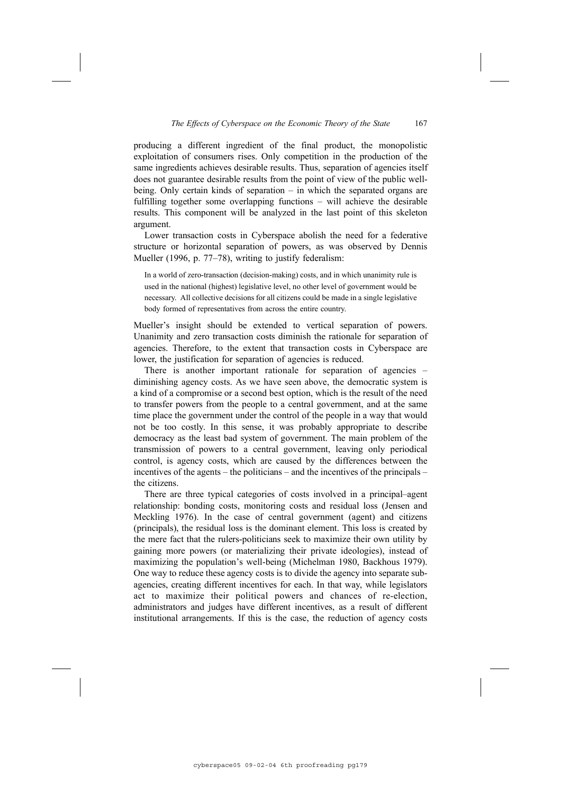producing a different ingredient of the final product, the monopolistic exploitation of consumers rises. Only competition in the production of the same ingredients achieves desirable results. Thus, separation of agencies itself does not guarantee desirable results from the point of view of the public wellbeing. Only certain kinds of separation  $-$  in which the separated organs are fulfilling together some overlapping functions  $-$  will achieve the desirable results. This component will be analyzed in the last point of this skeleton argument.

Lower transaction costs in Cyberspace abolish the need for a federative structure or horizontal separation of powers, as was observed by Dennis Mueller (1996, p. 77–78), writing to justify federalism:

In a world of zero-transaction (decision-making) costs, and in which unanimity rule is used in the national (highest) legislative level, no other level of government would be necessary. All collective decisions for all citizens could be made in a single legislative body formed of representatives from across the entire country.

Mueller's insight should be extended to vertical separation of powers. Unanimity and zero transaction costs diminish the rationale for separation of agencies. Therefore, to the extent that transaction costs in Cyberspace are lower, the justification for separation of agencies is reduced.

There is another important rationale for separation of agencies – diminishing agency costs. As we have seen above, the democratic system is a kind of a compromise or a second best option, which is the result of the need to transfer powers from the people to a central government, and at the same time place the government under the control of the people in a way that would not be too costly. In this sense, it was probably appropriate to describe democracy as the least bad system of government. The main problem of the transmission of powers to a central government, leaving only periodical control, is agency costs, which are caused by the differences between the incentives of the agents – the politicians – and the incentives of the principals – the citizens.

There are three typical categories of costs involved in a principal-agent relationship: bonding costs, monitoring costs and residual loss (Jensen and Meckling 1976). In the case of central government (agent) and citizens (principals), the residual loss is the dominant element. This loss is created by the mere fact that the rulers-politicians seek to maximize their own utility by gaining more powers (or materializing their private ideologies), instead of maximizing the population's well-being (Michelman 1980, Backhous 1979). One way to reduce these agency costs is to divide the agency into separate subagencies, creating different incentives for each. In that way, while legislators act to maximize their political powers and chances of re-election, administrators and judges have different incentives, as a result of different institutional arrangements. If this is the case, the reduction of agency costs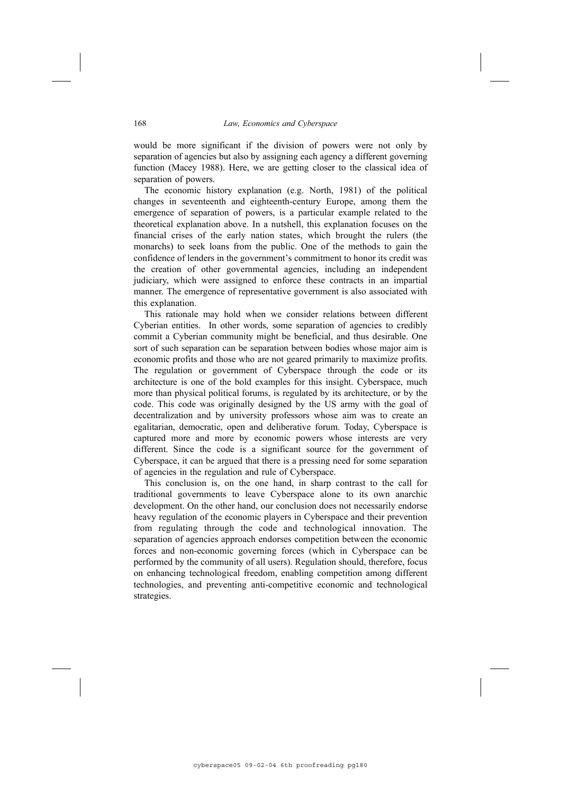would be more significant if the division of powers were not only by separation of agencies but also by assigning each agency a different governing function (Macey 1988). Here, we are getting closer to the classical idea of separation of powers.

The economic history explanation (e.g. North, 1981) of the political changes in seventeenth and eighteenth-century Europe, among them the emergence of separation of powers, is a particular example related to the theoretical explanation above. In a nutshell, this explanation focuses on the financial crises of the early nation states, which brought the rulers (the monarchs) to seek loans from the public. One of the methods to gain the confidence of lenders in the government's commitment to honor its credit was the creation of other governmental agencies, including an independent judiciary, which were assigned to enforce these contracts in an impartial manner. The emergence of representative government is also associated with this explanation.

This rationale may hold when we consider relations between different Cyberian entities. In other words, some separation of agencies to credibly commit a Cyberian community might be beneficial, and thus desirable. One sort of such separation can be separation between bodies whose major aim is economic profits and those who are not geared primarily to maximize profits. The regulation or government of Cyberspace through the code or its architecture is one of the bold examples for this insight. Cyberspace, much more than physical political forums, is regulated by its architecture, or by the code. This code was originally designed by the US army with the goal of decentralization and by university professors whose aim was to create an egalitarian, democratic, open and deliberative forum. Today, Cyberspace is captured more and more by economic powers whose interests are very different. Since the code is a significant source for the government of Cyberspace, it can be argued that there is a pressing need for some separation of agencies in the regulation and rule of Cyberspace.

This conclusion is, on the one hand, in sharp contrast to the call for traditional governments to leave Cyberspace alone to its own anarchic development. On the other hand, our conclusion does not necessarily endorse heavy regulation of the economic players in Cyberspace and their prevention from regulating through the code and technological innovation. The separation of agencies approach endorses competition between the economic forces and non-economic governing forces (which in Cyberspace can be performed by the community of all users). Regulation should, therefore, focus on enhancing technological freedom, enabling competition among different technologies, and preventing anti-competitive economic and technological strategies.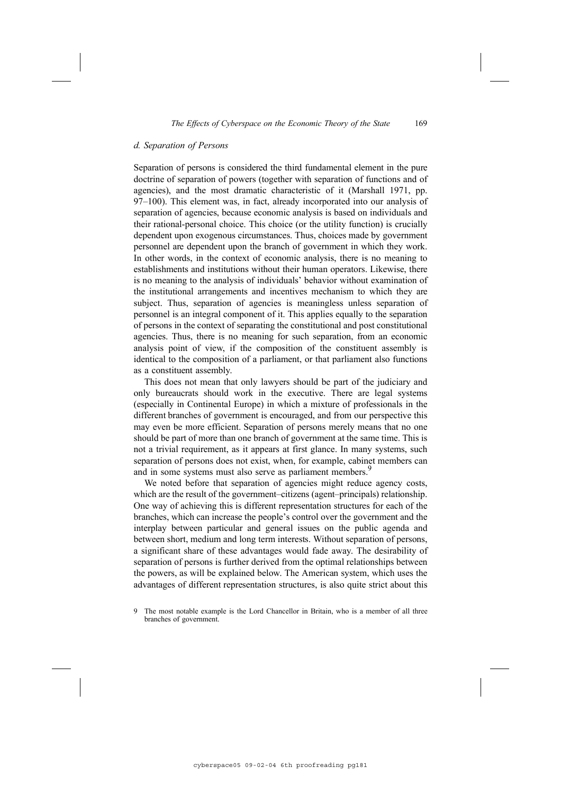#### The Effects of Cyberspace on the Economic Theory of the State

169

#### d. Separation of Persons

Separation of persons is considered the third fundamental element in the pure doctrine of separation of powers (together with separation of functions and of agencies), and the most dramatic characteristic of it (Marshall 1971, pp.  $97-100$ ). This element was, in fact, already incorporated into our analysis of separation of agencies, because economic analysis is based on individuals and their rational-personal choice. This choice (or the utility function) is crucially dependent upon exogenous circumstances. Thus, choices made by government personnel are dependent upon the branch of government in which they work. In other words, in the context of economic analysis, there is no meaning to establishments and institutions without their human operators. Likewise, there is no meaning to the analysis of individuals' behavior without examination of the institutional arrangements and incentives mechanism to which they are subject. Thus, separation of agencies is meaningless unless separation of personnel is an integral component of it. This applies equally to the separation of persons in the context of separating the constitutional and post constitutional agencies. Thus, there is no meaning for such separation, from an economic analysis point of view, if the composition of the constituent assembly is identical to the composition of a parliament, or that parliament also functions as a constituent assembly.

This does not mean that only lawyers should be part of the judiciary and only bureaucrats should work in the executive. There are legal systems (especially in Continental Europe) in which a mixture of professionals in the different branches of government is encouraged, and from our perspective this may even be more efficient. Separation of persons merely means that no one should be part of more than one branch of government at the same time. This is not a trivial requirement, as it appears at first glance. In many systems, such separation of persons does not exist, when, for example, cabinet members can and in some systems must also serve as parliament members.

We noted before that separation of agencies might reduce agency costs, which are the result of the government-citizens (agent-principals) relationship. One way of achieving this is different representation structures for each of the branches, which can increase the people's control over the government and the interplay between particular and general issues on the public agenda and between short, medium and long term interests. Without separation of persons, a significant share of these advantages would fade away. The desirability of separation of persons is further derived from the optimal relationships between the powers, as will be explained below. The American system, which uses the advantages of different representation structures, is also quite strict about this

The most notable example is the Lord Chancellor in Britain, who is a member of all three branches of government.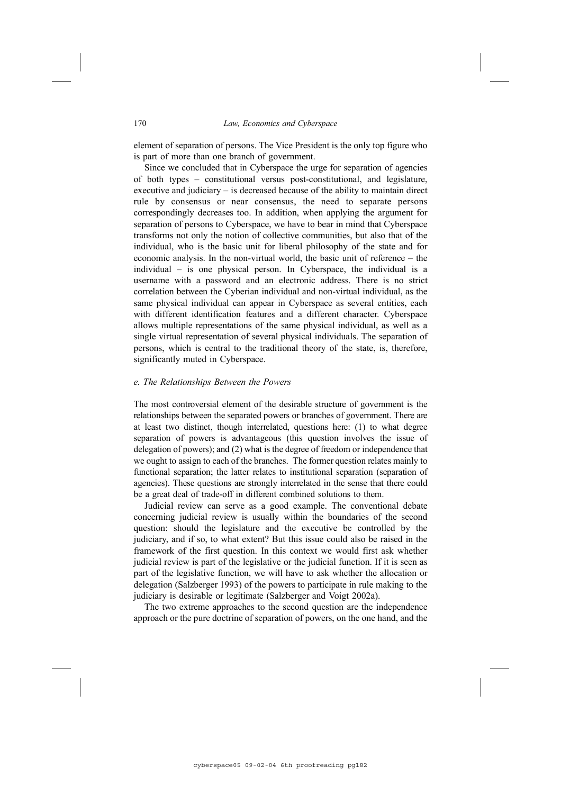element of separation of persons. The Vice President is the only top figure who is part of more than one branch of government.

Since we concluded that in Cyberspace the urge for separation of agencies of both types - constitutional versus post-constitutional, and legislature, executive and judiciary – is decreased because of the ability to maintain direct rule by consensus or near consensus, the need to separate persons correspondingly decreases too. In addition, when applying the argument for separation of persons to Cyberspace, we have to bear in mind that Cyberspace transforms not only the notion of collective communities, but also that of the individual, who is the basic unit for liberal philosophy of the state and for economic analysis. In the non-virtual world, the basic unit of reference – the individual  $-$  is one physical person. In Cyberspace, the individual is a username with a password and an electronic address. There is no strict correlation between the Cyberian individual and non-virtual individual, as the same physical individual can appear in Cyberspace as several entities, each with different identification features and a different character. Cyberspace allows multiple representations of the same physical individual, as well as a single virtual representation of several physical individuals. The separation of persons, which is central to the traditional theory of the state, is, therefore, significantly muted in Cyberspace.

#### e. The Relationships Between the Powers

The most controversial element of the desirable structure of government is the relationships between the separated powers or branches of government. There are at least two distinct, though interrelated, questions here: (1) to what degree separation of powers is advantageous (this question involves the issue of delegation of powers); and (2) what is the degree of freedom or independence that we ought to assign to each of the branches. The former question relates mainly to functional separation; the latter relates to institutional separation (separation of agencies). These questions are strongly interrelated in the sense that there could be a great deal of trade-off in different combined solutions to them.

Judicial review can serve as a good example. The conventional debate concerning judicial review is usually within the boundaries of the second question: should the legislature and the executive be controlled by the judiciary, and if so, to what extent? But this issue could also be raised in the framework of the first question. In this context we would first ask whether judicial review is part of the legislative or the judicial function. If it is seen as part of the legislative function, we will have to ask whether the allocation or delegation (Salzberger 1993) of the powers to participate in rule making to the judiciary is desirable or legitimate (Salzberger and Voigt 2002a).

The two extreme approaches to the second question are the independence approach or the pure doctrine of separation of powers, on the one hand, and the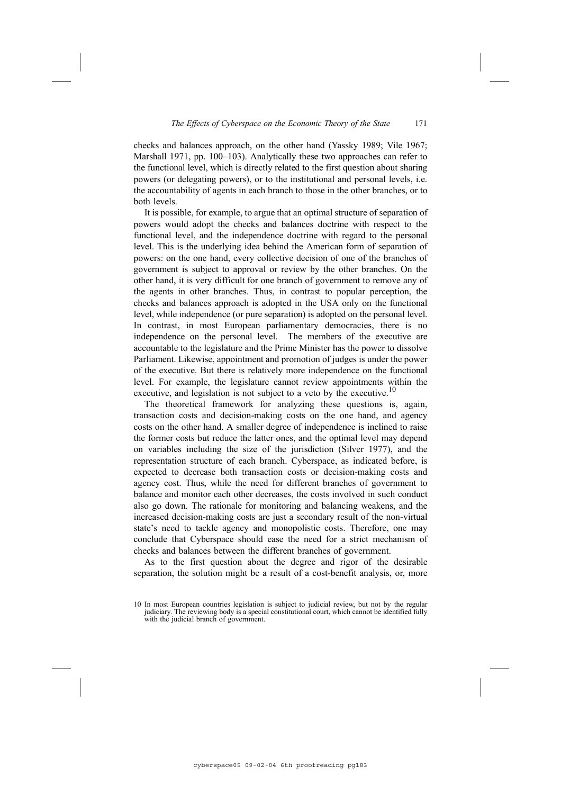checks and balances approach, on the other hand (Yassky 1989; Vile 1967; Marshall 1971, pp. 100–103). Analytically these two approaches can refer to the functional level, which is directly related to the first question about sharing powers (or delegating powers), or to the institutional and personal levels, i.e. the accountability of agents in each branch to those in the other branches, or to both levels.

It is possible, for example, to argue that an optimal structure of separation of powers would adopt the checks and balances doctrine with respect to the functional level, and the independence doctrine with regard to the personal level. This is the underlying idea behind the American form of separation of powers: on the one hand, every collective decision of one of the branches of government is subject to approval or review by the other branches. On the other hand, it is very difficult for one branch of government to remove any of the agents in other branches. Thus, in contrast to popular perception, the checks and balances approach is adopted in the USA only on the functional level, while independence (or pure separation) is adopted on the personal level. In contrast, in most European parliamentary democracies, there is no independence on the personal level. The members of the executive are accountable to the legislature and the Prime Minister has the power to dissolve Parliament. Likewise, appointment and promotion of judges is under the power of the executive. But there is relatively more independence on the functional level. For example, the legislature cannot review appointments within the executive, and legislation is not subject to a veto by the executive.<sup>10</sup>

The theoretical framework for analyzing these questions is, again, transaction costs and decision-making costs on the one hand, and agency costs on the other hand. A smaller degree of independence is inclined to raise the former costs but reduce the latter ones, and the optimal level may depend on variables including the size of the jurisdiction (Silver 1977), and the representation structure of each branch. Cyberspace, as indicated before, is expected to decrease both transaction costs or decision-making costs and agency cost. Thus, while the need for different branches of government to balance and monitor each other decreases, the costs involved in such conduct also go down. The rationale for monitoring and balancing weakens, and the increased decision-making costs are just a secondary result of the non-virtual state's need to tackle agency and monopolistic costs. Therefore, one may conclude that Cyberspace should ease the need for a strict mechanism of checks and balances between the different branches of government.

As to the first question about the degree and rigor of the desirable separation, the solution might be a result of a cost-benefit analysis, or, more

<sup>10</sup> In most European countries legislation is subject to judicial review, but not by the regular judiciary. The reviewing body is a special constitutional court, which cannot be identified fully with the judicial branch of government.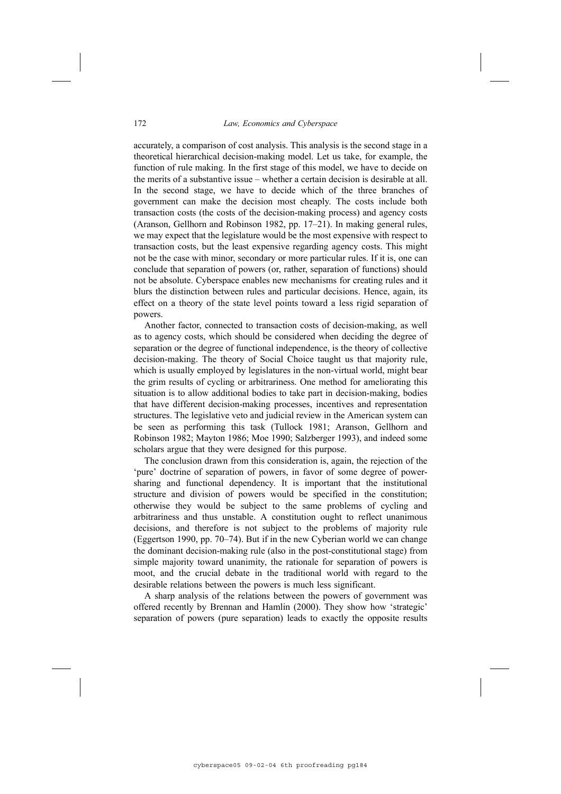accurately, a comparison of cost analysis. This analysis is the second stage in a theoretical hierarchical decision-making model. Let us take, for example, the function of rule making. In the first stage of this model, we have to decide on the merits of a substantive issue – whether a certain decision is desirable at all. In the second stage, we have to decide which of the three branches of government can make the decision most cheaply. The costs include both transaction costs (the costs of the decision-making process) and agency costs (Aranson, Gellhorn and Robinson 1982, pp.  $17-21$ ). In making general rules, we may expect that the legislature would be the most expensive with respect to transaction costs, but the least expensive regarding agency costs. This might not be the case with minor, secondary or more particular rules. If it is, one can conclude that separation of powers (or, rather, separation of functions) should not be absolute. Cyberspace enables new mechanisms for creating rules and it blurs the distinction between rules and particular decisions. Hence, again, its effect on a theory of the state level points toward a less rigid separation of powers.

Another factor, connected to transaction costs of decision-making, as well as to agency costs, which should be considered when deciding the degree of separation or the degree of functional independence, is the theory of collective decision-making. The theory of Social Choice taught us that majority rule, which is usually employed by legislatures in the non-virtual world, might bear the grim results of cycling or arbitrariness. One method for ameliorating this situation is to allow additional bodies to take part in decision-making, bodies that have different decision-making processes, incentives and representation structures. The legislative veto and judicial review in the American system can be seen as performing this task (Tullock 1981; Aranson, Gellhorn and Robinson 1982; Mayton 1986; Moe 1990; Salzberger 1993), and indeed some scholars argue that they were designed for this purpose.

The conclusion drawn from this consideration is, again, the rejection of the 'pure' doctrine of separation of powers, in favor of some degree of powersharing and functional dependency. It is important that the institutional structure and division of powers would be specified in the constitution; otherwise they would be subject to the same problems of cycling and arbitrariness and thus unstable. A constitution ought to reflect unanimous decisions, and therefore is not subject to the problems of majority rule (Eggertson 1990, pp. 70–74). But if in the new Cyberian world we can change the dominant decision-making rule (also in the post-constitutional stage) from simple majority toward unanimity, the rationale for separation of powers is moot, and the crucial debate in the traditional world with regard to the desirable relations between the powers is much less significant.

A sharp analysis of the relations between the powers of government was offered recently by Brennan and Hamlin (2000). They show how 'strategic' separation of powers (pure separation) leads to exactly the opposite results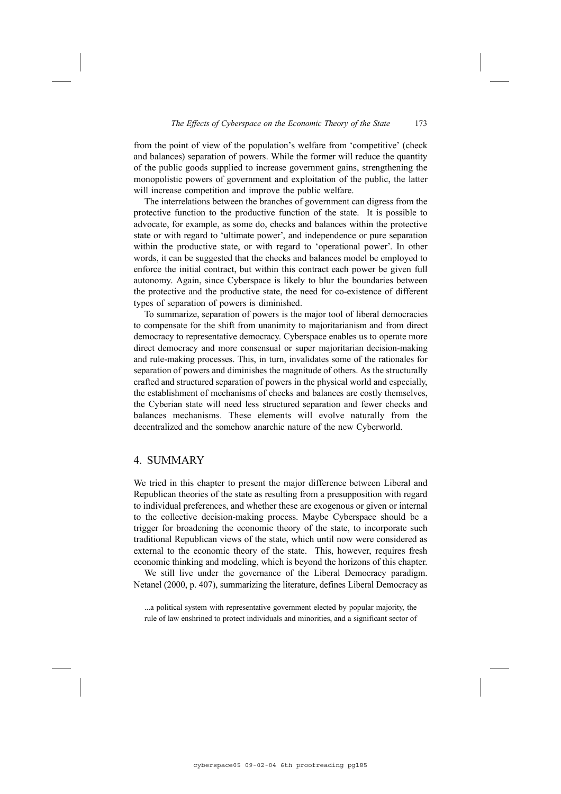#### The Effects of Cyberspace on the Economic Theory of the State  $173$

from the point of view of the population's welfare from 'competitive' (check and balances) separation of powers. While the former will reduce the quantity of the public goods supplied to increase government gains, strengthening the monopolistic powers of government and exploitation of the public, the latter will increase competition and improve the public welfare.

The interrelations between the branches of government can digress from the protective function to the productive function of the state. It is possible to advocate, for example, as some do, checks and balances within the protective state or with regard to 'ultimate power', and independence or pure separation within the productive state, or with regard to 'operational power'. In other words, it can be suggested that the checks and balances model be employed to enforce the initial contract, but within this contract each power be given full autonomy. Again, since Cyberspace is likely to blur the boundaries between the protective and the productive state, the need for co-existence of different types of separation of powers is diminished.

To summarize, separation of powers is the major tool of liberal democracies to compensate for the shift from unanimity to majoritarianism and from direct democracy to representative democracy. Cyberspace enables us to operate more direct democracy and more consensual or super majoritarian decision-making and rule-making processes. This, in turn, invalidates some of the rationales for separation of powers and diminishes the magnitude of others. As the structurally crafted and structured separation of powers in the physical world and especially, the establishment of mechanisms of checks and balances are costly themselves, the Cyberian state will need less structured separation and fewer checks and balances mechanisms. These elements will evolve naturally from the decentralized and the somehow anarchic nature of the new Cyberworld.

# 4. SUMMARY

We tried in this chapter to present the major difference between Liberal and Republican theories of the state as resulting from a presupposition with regard to individual preferences, and whether these are exogenous or given or internal to the collective decision-making process. Maybe Cyberspace should be a trigger for broadening the economic theory of the state, to incorporate such traditional Republican views of the state, which until now were considered as external to the economic theory of the state. This, however, requires fresh economic thinking and modeling, which is beyond the horizons of this chapter.

We still live under the governance of the Liberal Democracy paradigm. Netanel (2000, p. 407), summarizing the literature, defines Liberal Democracy as

...a political system with representative government elected by popular majority, the rule of law enshrined to protect individuals and minorities, and a significant sector of